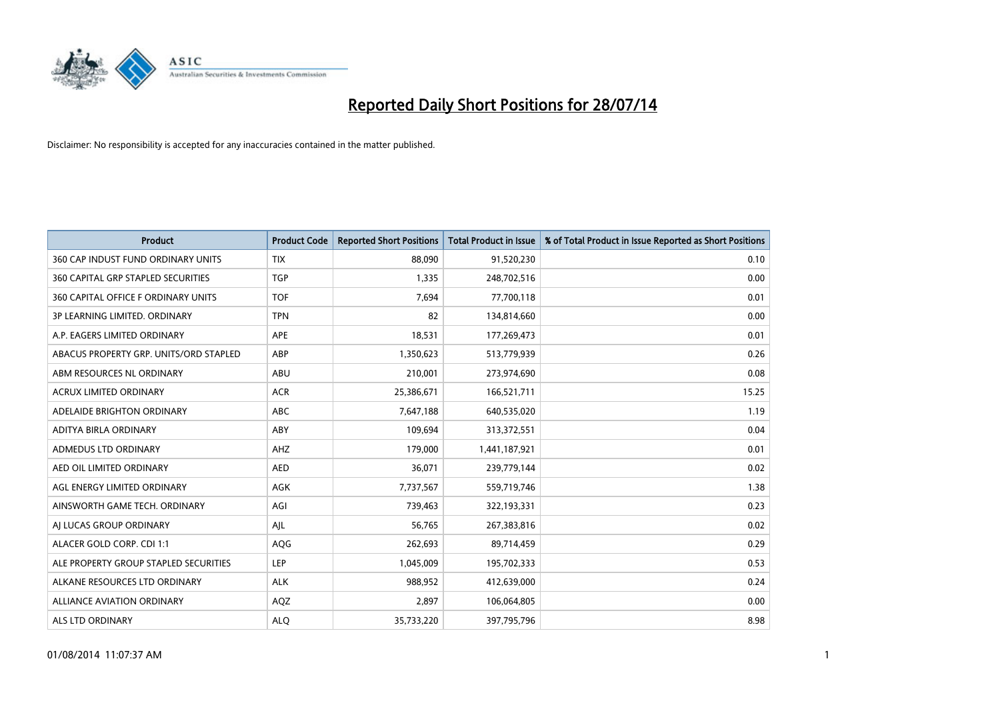

| <b>Product</b>                         | <b>Product Code</b> | <b>Reported Short Positions</b> | <b>Total Product in Issue</b> | % of Total Product in Issue Reported as Short Positions |
|----------------------------------------|---------------------|---------------------------------|-------------------------------|---------------------------------------------------------|
| 360 CAP INDUST FUND ORDINARY UNITS     | <b>TIX</b>          | 88,090                          | 91,520,230                    | 0.10                                                    |
| 360 CAPITAL GRP STAPLED SECURITIES     | <b>TGP</b>          | 1,335                           | 248,702,516                   | 0.00                                                    |
| 360 CAPITAL OFFICE F ORDINARY UNITS    | <b>TOF</b>          | 7.694                           | 77,700,118                    | 0.01                                                    |
| 3P LEARNING LIMITED. ORDINARY          | <b>TPN</b>          | 82                              | 134,814,660                   | 0.00                                                    |
| A.P. EAGERS LIMITED ORDINARY           | APE                 | 18,531                          | 177,269,473                   | 0.01                                                    |
| ABACUS PROPERTY GRP. UNITS/ORD STAPLED | ABP                 | 1,350,623                       | 513,779,939                   | 0.26                                                    |
| ABM RESOURCES NL ORDINARY              | ABU                 | 210,001                         | 273,974,690                   | 0.08                                                    |
| ACRUX LIMITED ORDINARY                 | <b>ACR</b>          | 25,386,671                      | 166,521,711                   | 15.25                                                   |
| ADELAIDE BRIGHTON ORDINARY             | <b>ABC</b>          | 7,647,188                       | 640,535,020                   | 1.19                                                    |
| ADITYA BIRLA ORDINARY                  | ABY                 | 109,694                         | 313,372,551                   | 0.04                                                    |
| ADMEDUS LTD ORDINARY                   | AHZ                 | 179,000                         | 1,441,187,921                 | 0.01                                                    |
| AED OIL LIMITED ORDINARY               | <b>AED</b>          | 36,071                          | 239,779,144                   | 0.02                                                    |
| AGL ENERGY LIMITED ORDINARY            | AGK                 | 7,737,567                       | 559,719,746                   | 1.38                                                    |
| AINSWORTH GAME TECH. ORDINARY          | AGI                 | 739,463                         | 322,193,331                   | 0.23                                                    |
| AI LUCAS GROUP ORDINARY                | AJL                 | 56,765                          | 267,383,816                   | 0.02                                                    |
| ALACER GOLD CORP. CDI 1:1              | AQG                 | 262,693                         | 89,714,459                    | 0.29                                                    |
| ALE PROPERTY GROUP STAPLED SECURITIES  | LEP                 | 1,045,009                       | 195,702,333                   | 0.53                                                    |
| ALKANE RESOURCES LTD ORDINARY          | <b>ALK</b>          | 988,952                         | 412,639,000                   | 0.24                                                    |
| <b>ALLIANCE AVIATION ORDINARY</b>      | AQZ                 | 2,897                           | 106,064,805                   | 0.00                                                    |
| ALS LTD ORDINARY                       | <b>ALO</b>          | 35,733,220                      | 397,795,796                   | 8.98                                                    |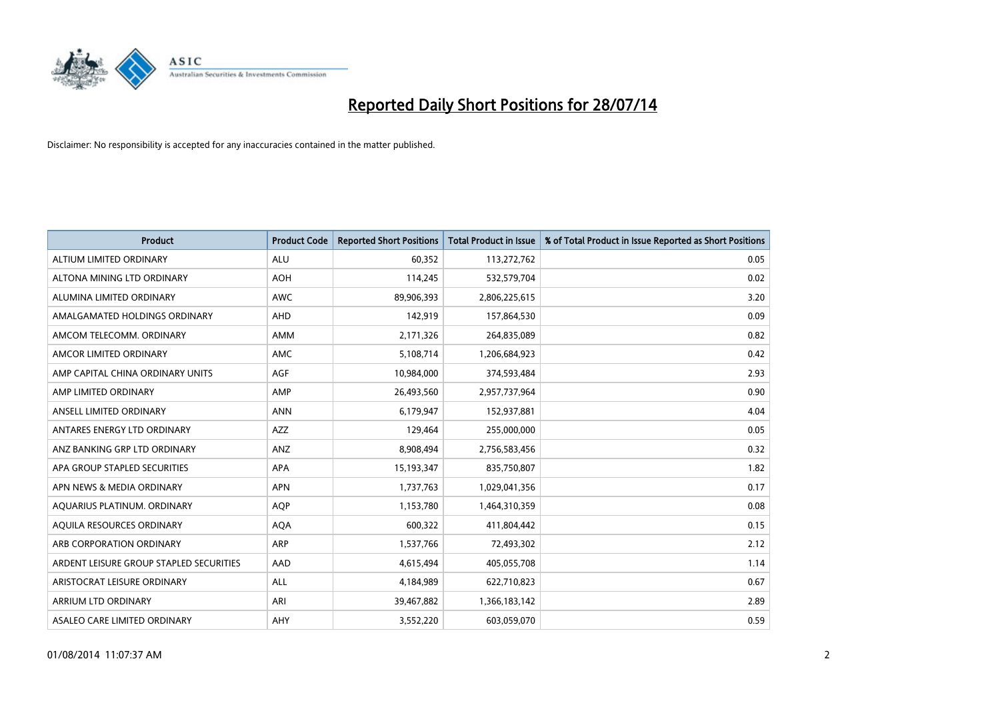

| <b>Product</b>                          | <b>Product Code</b> | <b>Reported Short Positions</b> | <b>Total Product in Issue</b> | % of Total Product in Issue Reported as Short Positions |
|-----------------------------------------|---------------------|---------------------------------|-------------------------------|---------------------------------------------------------|
| ALTIUM LIMITED ORDINARY                 | <b>ALU</b>          | 60,352                          | 113,272,762                   | 0.05                                                    |
| ALTONA MINING LTD ORDINARY              | <b>AOH</b>          | 114,245                         | 532,579,704                   | 0.02                                                    |
| ALUMINA LIMITED ORDINARY                | <b>AWC</b>          | 89,906,393                      | 2,806,225,615                 | 3.20                                                    |
| AMALGAMATED HOLDINGS ORDINARY           | AHD                 | 142,919                         | 157,864,530                   | 0.09                                                    |
| AMCOM TELECOMM, ORDINARY                | AMM                 | 2,171,326                       | 264,835,089                   | 0.82                                                    |
| AMCOR LIMITED ORDINARY                  | AMC                 | 5,108,714                       | 1,206,684,923                 | 0.42                                                    |
| AMP CAPITAL CHINA ORDINARY UNITS        | <b>AGF</b>          | 10,984,000                      | 374,593,484                   | 2.93                                                    |
| AMP LIMITED ORDINARY                    | AMP                 | 26,493,560                      | 2,957,737,964                 | 0.90                                                    |
| ANSELL LIMITED ORDINARY                 | <b>ANN</b>          | 6,179,947                       | 152,937,881                   | 4.04                                                    |
| ANTARES ENERGY LTD ORDINARY             | <b>AZZ</b>          | 129,464                         | 255,000,000                   | 0.05                                                    |
| ANZ BANKING GRP LTD ORDINARY            | ANZ                 | 8,908,494                       | 2,756,583,456                 | 0.32                                                    |
| APA GROUP STAPLED SECURITIES            | APA                 | 15,193,347                      | 835,750,807                   | 1.82                                                    |
| APN NEWS & MEDIA ORDINARY               | <b>APN</b>          | 1,737,763                       | 1,029,041,356                 | 0.17                                                    |
| AQUARIUS PLATINUM. ORDINARY             | <b>AOP</b>          | 1,153,780                       | 1,464,310,359                 | 0.08                                                    |
| AQUILA RESOURCES ORDINARY               | <b>AQA</b>          | 600,322                         | 411,804,442                   | 0.15                                                    |
| ARB CORPORATION ORDINARY                | ARP                 | 1,537,766                       | 72,493,302                    | 2.12                                                    |
| ARDENT LEISURE GROUP STAPLED SECURITIES | AAD                 | 4,615,494                       | 405,055,708                   | 1.14                                                    |
| ARISTOCRAT LEISURE ORDINARY             | ALL                 | 4,184,989                       | 622,710,823                   | 0.67                                                    |
| ARRIUM LTD ORDINARY                     | ARI                 | 39,467,882                      | 1,366,183,142                 | 2.89                                                    |
| ASALEO CARE LIMITED ORDINARY            | AHY                 | 3,552,220                       | 603,059,070                   | 0.59                                                    |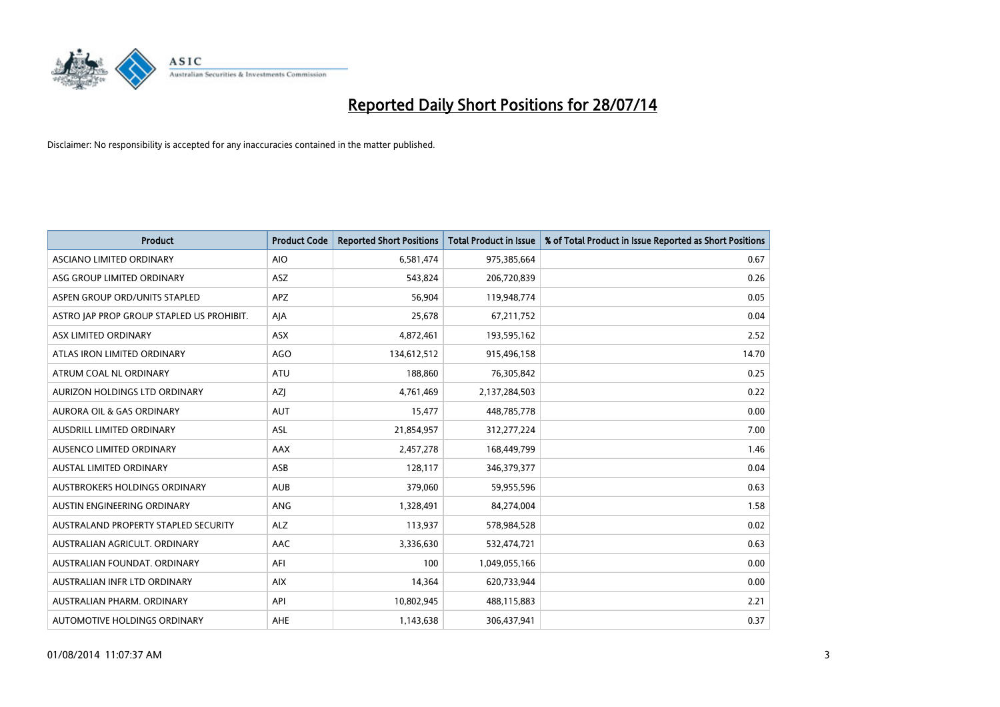

| <b>Product</b>                            | <b>Product Code</b> | <b>Reported Short Positions</b> | <b>Total Product in Issue</b> | % of Total Product in Issue Reported as Short Positions |
|-------------------------------------------|---------------------|---------------------------------|-------------------------------|---------------------------------------------------------|
| ASCIANO LIMITED ORDINARY                  | <b>AIO</b>          | 6,581,474                       | 975,385,664                   | 0.67                                                    |
| ASG GROUP LIMITED ORDINARY                | ASZ                 | 543,824                         | 206,720,839                   | 0.26                                                    |
| ASPEN GROUP ORD/UNITS STAPLED             | APZ                 | 56,904                          | 119,948,774                   | 0.05                                                    |
| ASTRO JAP PROP GROUP STAPLED US PROHIBIT. | AJA                 | 25,678                          | 67,211,752                    | 0.04                                                    |
| <b>ASX LIMITED ORDINARY</b>               | ASX                 | 4,872,461                       | 193,595,162                   | 2.52                                                    |
| ATLAS IRON LIMITED ORDINARY               | <b>AGO</b>          | 134,612,512                     | 915,496,158                   | 14.70                                                   |
| ATRUM COAL NL ORDINARY                    | ATU                 | 188,860                         | 76,305,842                    | 0.25                                                    |
| AURIZON HOLDINGS LTD ORDINARY             | AZJ                 | 4,761,469                       | 2,137,284,503                 | 0.22                                                    |
| <b>AURORA OIL &amp; GAS ORDINARY</b>      | <b>AUT</b>          | 15,477                          | 448,785,778                   | 0.00                                                    |
| AUSDRILL LIMITED ORDINARY                 | <b>ASL</b>          | 21,854,957                      | 312,277,224                   | 7.00                                                    |
| AUSENCO LIMITED ORDINARY                  | AAX                 | 2,457,278                       | 168,449,799                   | 1.46                                                    |
| AUSTAL LIMITED ORDINARY                   | ASB                 | 128,117                         | 346,379,377                   | 0.04                                                    |
| AUSTBROKERS HOLDINGS ORDINARY             | <b>AUB</b>          | 379,060                         | 59,955,596                    | 0.63                                                    |
| AUSTIN ENGINEERING ORDINARY               | ANG                 | 1,328,491                       | 84,274,004                    | 1.58                                                    |
| AUSTRALAND PROPERTY STAPLED SECURITY      | <b>ALZ</b>          | 113,937                         | 578,984,528                   | 0.02                                                    |
| AUSTRALIAN AGRICULT, ORDINARY             | AAC                 | 3,336,630                       | 532,474,721                   | 0.63                                                    |
| AUSTRALIAN FOUNDAT. ORDINARY              | AFI                 | 100                             | 1,049,055,166                 | 0.00                                                    |
| AUSTRALIAN INFR LTD ORDINARY              | <b>AIX</b>          | 14,364                          | 620,733,944                   | 0.00                                                    |
| AUSTRALIAN PHARM, ORDINARY                | API                 | 10,802,945                      | 488,115,883                   | 2.21                                                    |
| AUTOMOTIVE HOLDINGS ORDINARY              | AHE                 | 1,143,638                       | 306,437,941                   | 0.37                                                    |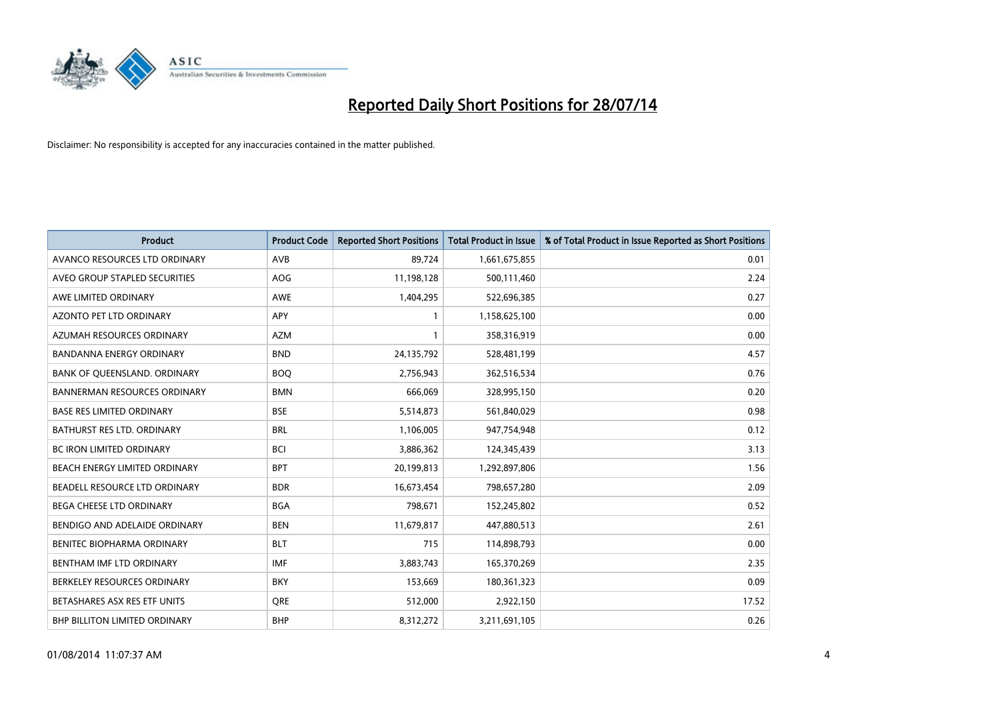

| <b>Product</b>                      | <b>Product Code</b> | <b>Reported Short Positions</b> | <b>Total Product in Issue</b> | % of Total Product in Issue Reported as Short Positions |
|-------------------------------------|---------------------|---------------------------------|-------------------------------|---------------------------------------------------------|
| AVANCO RESOURCES LTD ORDINARY       | AVB                 | 89,724                          | 1,661,675,855                 | 0.01                                                    |
| AVEO GROUP STAPLED SECURITIES       | <b>AOG</b>          | 11,198,128                      | 500,111,460                   | 2.24                                                    |
| AWE LIMITED ORDINARY                | <b>AWE</b>          | 1,404,295                       | 522,696,385                   | 0.27                                                    |
| AZONTO PET LTD ORDINARY             | <b>APY</b>          | 1                               | 1,158,625,100                 | 0.00                                                    |
| AZUMAH RESOURCES ORDINARY           | <b>AZM</b>          | 1                               | 358,316,919                   | 0.00                                                    |
| <b>BANDANNA ENERGY ORDINARY</b>     | <b>BND</b>          | 24,135,792                      | 528,481,199                   | 4.57                                                    |
| BANK OF QUEENSLAND. ORDINARY        | <b>BOQ</b>          | 2,756,943                       | 362,516,534                   | 0.76                                                    |
| <b>BANNERMAN RESOURCES ORDINARY</b> | <b>BMN</b>          | 666,069                         | 328,995,150                   | 0.20                                                    |
| <b>BASE RES LIMITED ORDINARY</b>    | <b>BSE</b>          | 5,514,873                       | 561,840,029                   | 0.98                                                    |
| <b>BATHURST RES LTD. ORDINARY</b>   | <b>BRL</b>          | 1,106,005                       | 947,754,948                   | 0.12                                                    |
| BC IRON LIMITED ORDINARY            | <b>BCI</b>          | 3,886,362                       | 124,345,439                   | 3.13                                                    |
| BEACH ENERGY LIMITED ORDINARY       | <b>BPT</b>          | 20,199,813                      | 1,292,897,806                 | 1.56                                                    |
| BEADELL RESOURCE LTD ORDINARY       | <b>BDR</b>          | 16,673,454                      | 798,657,280                   | 2.09                                                    |
| <b>BEGA CHEESE LTD ORDINARY</b>     | <b>BGA</b>          | 798,671                         | 152,245,802                   | 0.52                                                    |
| BENDIGO AND ADELAIDE ORDINARY       | <b>BEN</b>          | 11,679,817                      | 447,880,513                   | 2.61                                                    |
| BENITEC BIOPHARMA ORDINARY          | <b>BLT</b>          | 715                             | 114,898,793                   | 0.00                                                    |
| BENTHAM IMF LTD ORDINARY            | <b>IMF</b>          | 3,883,743                       | 165,370,269                   | 2.35                                                    |
| BERKELEY RESOURCES ORDINARY         | <b>BKY</b>          | 153,669                         | 180,361,323                   | 0.09                                                    |
| BETASHARES ASX RES ETF UNITS        | <b>ORE</b>          | 512,000                         | 2,922,150                     | 17.52                                                   |
| BHP BILLITON LIMITED ORDINARY       | <b>BHP</b>          | 8,312,272                       | 3,211,691,105                 | 0.26                                                    |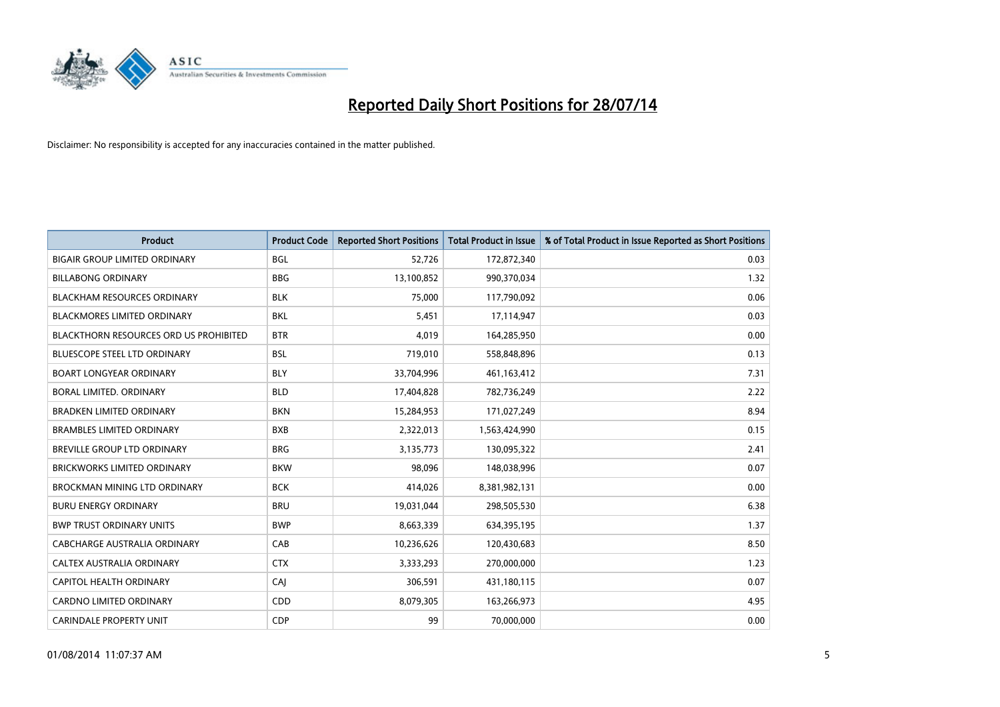

| <b>Product</b>                                | <b>Product Code</b> | <b>Reported Short Positions</b> | <b>Total Product in Issue</b> | % of Total Product in Issue Reported as Short Positions |
|-----------------------------------------------|---------------------|---------------------------------|-------------------------------|---------------------------------------------------------|
| <b>BIGAIR GROUP LIMITED ORDINARY</b>          | <b>BGL</b>          | 52,726                          | 172,872,340                   | 0.03                                                    |
| <b>BILLABONG ORDINARY</b>                     | <b>BBG</b>          | 13,100,852                      | 990,370,034                   | 1.32                                                    |
| <b>BLACKHAM RESOURCES ORDINARY</b>            | <b>BLK</b>          | 75,000                          | 117,790,092                   | 0.06                                                    |
| <b>BLACKMORES LIMITED ORDINARY</b>            | <b>BKL</b>          | 5,451                           | 17,114,947                    | 0.03                                                    |
| <b>BLACKTHORN RESOURCES ORD US PROHIBITED</b> | <b>BTR</b>          | 4,019                           | 164,285,950                   | 0.00                                                    |
| <b>BLUESCOPE STEEL LTD ORDINARY</b>           | <b>BSL</b>          | 719,010                         | 558,848,896                   | 0.13                                                    |
| <b>BOART LONGYEAR ORDINARY</b>                | <b>BLY</b>          | 33,704,996                      | 461,163,412                   | 7.31                                                    |
| BORAL LIMITED, ORDINARY                       | <b>BLD</b>          | 17,404,828                      | 782,736,249                   | 2.22                                                    |
| <b>BRADKEN LIMITED ORDINARY</b>               | <b>BKN</b>          | 15,284,953                      | 171,027,249                   | 8.94                                                    |
| <b>BRAMBLES LIMITED ORDINARY</b>              | <b>BXB</b>          | 2,322,013                       | 1,563,424,990                 | 0.15                                                    |
| BREVILLE GROUP LTD ORDINARY                   | <b>BRG</b>          | 3,135,773                       | 130,095,322                   | 2.41                                                    |
| <b>BRICKWORKS LIMITED ORDINARY</b>            | <b>BKW</b>          | 98,096                          | 148,038,996                   | 0.07                                                    |
| BROCKMAN MINING LTD ORDINARY                  | <b>BCK</b>          | 414,026                         | 8,381,982,131                 | 0.00                                                    |
| <b>BURU ENERGY ORDINARY</b>                   | <b>BRU</b>          | 19,031,044                      | 298,505,530                   | 6.38                                                    |
| <b>BWP TRUST ORDINARY UNITS</b>               | <b>BWP</b>          | 8,663,339                       | 634,395,195                   | 1.37                                                    |
| CABCHARGE AUSTRALIA ORDINARY                  | CAB                 | 10,236,626                      | 120,430,683                   | 8.50                                                    |
| CALTEX AUSTRALIA ORDINARY                     | <b>CTX</b>          | 3,333,293                       | 270,000,000                   | 1.23                                                    |
| CAPITOL HEALTH ORDINARY                       | CAJ                 | 306,591                         | 431,180,115                   | 0.07                                                    |
| <b>CARDNO LIMITED ORDINARY</b>                | CDD                 | 8,079,305                       | 163,266,973                   | 4.95                                                    |
| <b>CARINDALE PROPERTY UNIT</b>                | <b>CDP</b>          | 99                              | 70,000,000                    | 0.00                                                    |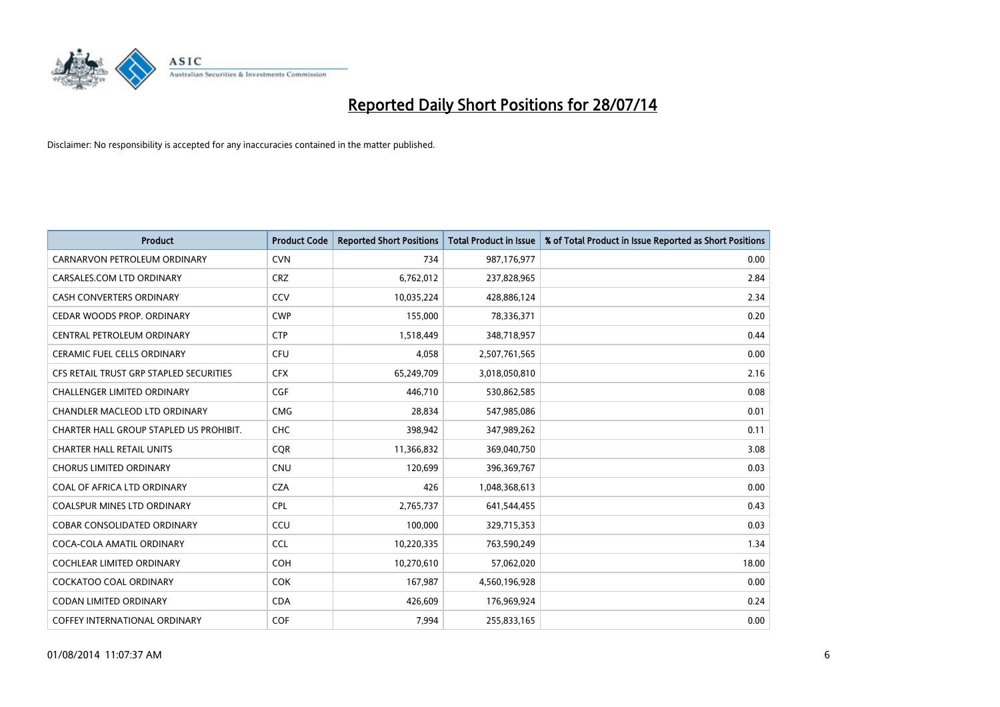

| <b>Product</b>                          | <b>Product Code</b> | <b>Reported Short Positions</b> | <b>Total Product in Issue</b> | % of Total Product in Issue Reported as Short Positions |
|-----------------------------------------|---------------------|---------------------------------|-------------------------------|---------------------------------------------------------|
| CARNARVON PETROLEUM ORDINARY            | <b>CVN</b>          | 734                             | 987,176,977                   | 0.00                                                    |
| CARSALES.COM LTD ORDINARY               | <b>CRZ</b>          | 6,762,012                       | 237,828,965                   | 2.84                                                    |
| CASH CONVERTERS ORDINARY                | CCV                 | 10,035,224                      | 428,886,124                   | 2.34                                                    |
| CEDAR WOODS PROP. ORDINARY              | <b>CWP</b>          | 155,000                         | 78,336,371                    | 0.20                                                    |
| CENTRAL PETROLEUM ORDINARY              | <b>CTP</b>          | 1,518,449                       | 348,718,957                   | 0.44                                                    |
| <b>CERAMIC FUEL CELLS ORDINARY</b>      | <b>CFU</b>          | 4,058                           | 2,507,761,565                 | 0.00                                                    |
| CFS RETAIL TRUST GRP STAPLED SECURITIES | <b>CFX</b>          | 65,249,709                      | 3,018,050,810                 | 2.16                                                    |
| CHALLENGER LIMITED ORDINARY             | <b>CGF</b>          | 446,710                         | 530,862,585                   | 0.08                                                    |
| <b>CHANDLER MACLEOD LTD ORDINARY</b>    | <b>CMG</b>          | 28,834                          | 547,985,086                   | 0.01                                                    |
| CHARTER HALL GROUP STAPLED US PROHIBIT. | <b>CHC</b>          | 398,942                         | 347,989,262                   | 0.11                                                    |
| <b>CHARTER HALL RETAIL UNITS</b>        | <b>CQR</b>          | 11,366,832                      | 369,040,750                   | 3.08                                                    |
| <b>CHORUS LIMITED ORDINARY</b>          | <b>CNU</b>          | 120,699                         | 396,369,767                   | 0.03                                                    |
| COAL OF AFRICA LTD ORDINARY             | <b>CZA</b>          | 426                             | 1,048,368,613                 | 0.00                                                    |
| <b>COALSPUR MINES LTD ORDINARY</b>      | <b>CPL</b>          | 2,765,737                       | 641,544,455                   | 0.43                                                    |
| <b>COBAR CONSOLIDATED ORDINARY</b>      | CCU                 | 100,000                         | 329,715,353                   | 0.03                                                    |
| COCA-COLA AMATIL ORDINARY               | <b>CCL</b>          | 10,220,335                      | 763,590,249                   | 1.34                                                    |
| <b>COCHLEAR LIMITED ORDINARY</b>        | <b>COH</b>          | 10,270,610                      | 57,062,020                    | 18.00                                                   |
| <b>COCKATOO COAL ORDINARY</b>           | COK                 | 167,987                         | 4,560,196,928                 | 0.00                                                    |
| <b>CODAN LIMITED ORDINARY</b>           | <b>CDA</b>          | 426,609                         | 176,969,924                   | 0.24                                                    |
| COFFEY INTERNATIONAL ORDINARY           | <b>COF</b>          | 7,994                           | 255,833,165                   | 0.00                                                    |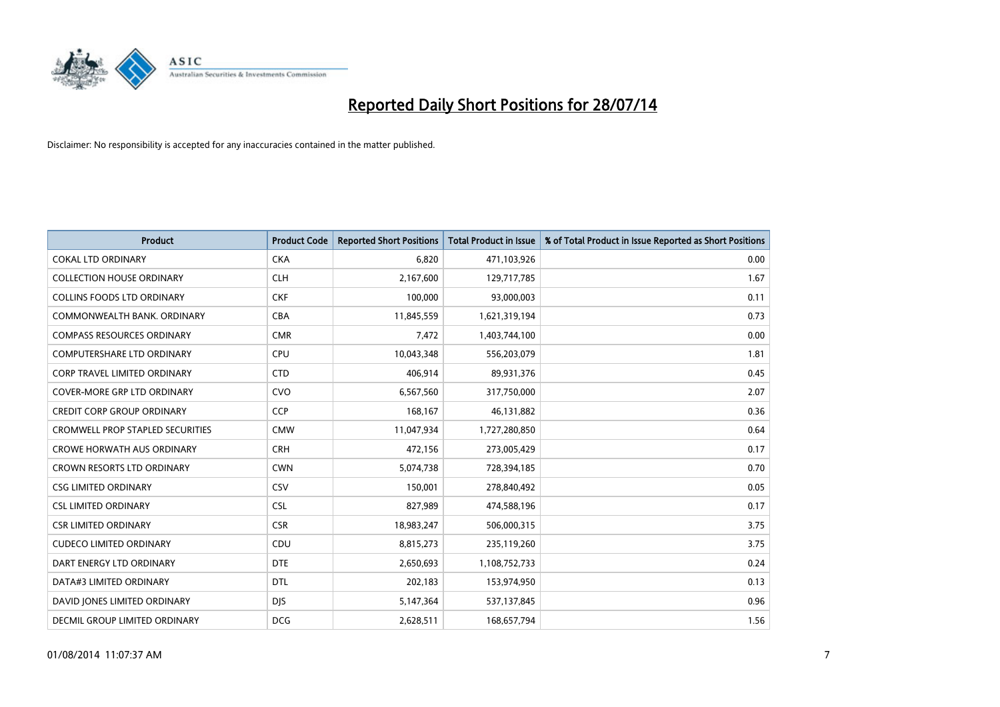

| <b>Product</b>                          | <b>Product Code</b> | <b>Reported Short Positions</b> | <b>Total Product in Issue</b> | % of Total Product in Issue Reported as Short Positions |
|-----------------------------------------|---------------------|---------------------------------|-------------------------------|---------------------------------------------------------|
| <b>COKAL LTD ORDINARY</b>               | <b>CKA</b>          | 6,820                           | 471,103,926                   | 0.00                                                    |
| <b>COLLECTION HOUSE ORDINARY</b>        | <b>CLH</b>          | 2,167,600                       | 129,717,785                   | 1.67                                                    |
| <b>COLLINS FOODS LTD ORDINARY</b>       | <b>CKF</b>          | 100,000                         | 93,000,003                    | 0.11                                                    |
| COMMONWEALTH BANK, ORDINARY             | <b>CBA</b>          | 11,845,559                      | 1,621,319,194                 | 0.73                                                    |
| <b>COMPASS RESOURCES ORDINARY</b>       | <b>CMR</b>          | 7,472                           | 1,403,744,100                 | 0.00                                                    |
| <b>COMPUTERSHARE LTD ORDINARY</b>       | <b>CPU</b>          | 10,043,348                      | 556,203,079                   | 1.81                                                    |
| <b>CORP TRAVEL LIMITED ORDINARY</b>     | <b>CTD</b>          | 406,914                         | 89,931,376                    | 0.45                                                    |
| <b>COVER-MORE GRP LTD ORDINARY</b>      | <b>CVO</b>          | 6,567,560                       | 317,750,000                   | 2.07                                                    |
| <b>CREDIT CORP GROUP ORDINARY</b>       | <b>CCP</b>          | 168,167                         | 46,131,882                    | 0.36                                                    |
| <b>CROMWELL PROP STAPLED SECURITIES</b> | <b>CMW</b>          | 11,047,934                      | 1,727,280,850                 | 0.64                                                    |
| <b>CROWE HORWATH AUS ORDINARY</b>       | <b>CRH</b>          | 472,156                         | 273,005,429                   | 0.17                                                    |
| <b>CROWN RESORTS LTD ORDINARY</b>       | <b>CWN</b>          | 5,074,738                       | 728,394,185                   | 0.70                                                    |
| <b>CSG LIMITED ORDINARY</b>             | CSV                 | 150,001                         | 278,840,492                   | 0.05                                                    |
| <b>CSL LIMITED ORDINARY</b>             | <b>CSL</b>          | 827,989                         | 474,588,196                   | 0.17                                                    |
| <b>CSR LIMITED ORDINARY</b>             | <b>CSR</b>          | 18,983,247                      | 506,000,315                   | 3.75                                                    |
| <b>CUDECO LIMITED ORDINARY</b>          | CDU                 | 8,815,273                       | 235,119,260                   | 3.75                                                    |
| DART ENERGY LTD ORDINARY                | <b>DTE</b>          | 2,650,693                       | 1,108,752,733                 | 0.24                                                    |
| DATA#3 LIMITED ORDINARY                 | <b>DTL</b>          | 202,183                         | 153,974,950                   | 0.13                                                    |
| DAVID JONES LIMITED ORDINARY            | <b>DJS</b>          | 5,147,364                       | 537,137,845                   | 0.96                                                    |
| DECMIL GROUP LIMITED ORDINARY           | <b>DCG</b>          | 2,628,511                       | 168,657,794                   | 1.56                                                    |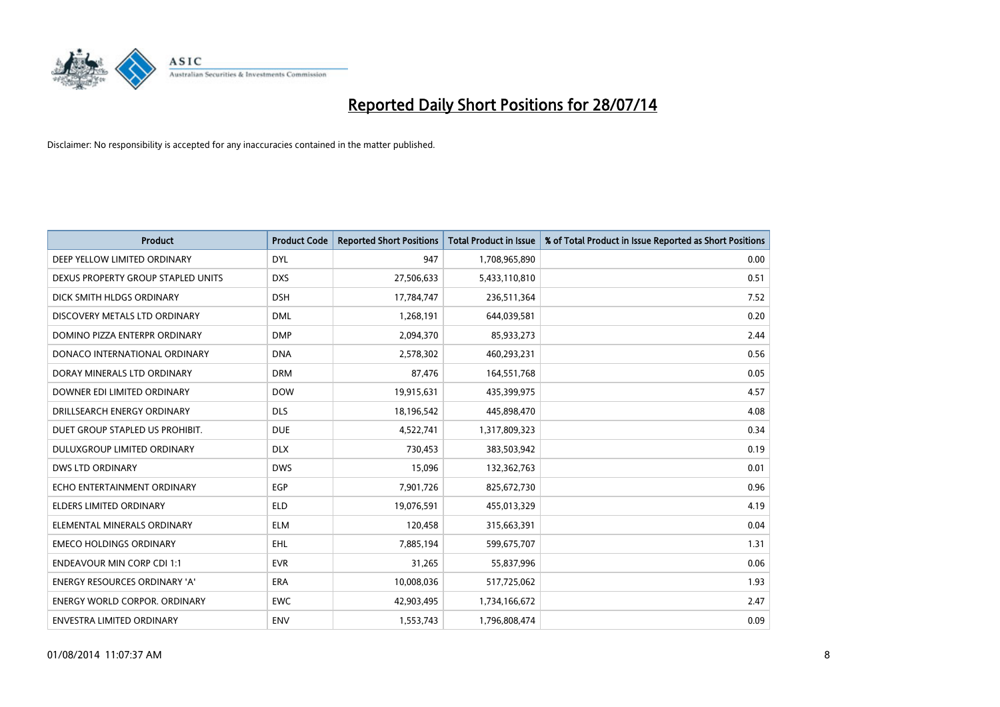

| <b>Product</b>                       | <b>Product Code</b> | <b>Reported Short Positions</b> | <b>Total Product in Issue</b> | % of Total Product in Issue Reported as Short Positions |
|--------------------------------------|---------------------|---------------------------------|-------------------------------|---------------------------------------------------------|
| DEEP YELLOW LIMITED ORDINARY         | <b>DYL</b>          | 947                             | 1,708,965,890                 | 0.00                                                    |
| DEXUS PROPERTY GROUP STAPLED UNITS   | <b>DXS</b>          | 27,506,633                      | 5,433,110,810                 | 0.51                                                    |
| DICK SMITH HLDGS ORDINARY            | <b>DSH</b>          | 17,784,747                      | 236,511,364                   | 7.52                                                    |
| DISCOVERY METALS LTD ORDINARY        | <b>DML</b>          | 1,268,191                       | 644,039,581                   | 0.20                                                    |
| DOMINO PIZZA ENTERPR ORDINARY        | <b>DMP</b>          | 2,094,370                       | 85,933,273                    | 2.44                                                    |
| DONACO INTERNATIONAL ORDINARY        | <b>DNA</b>          | 2,578,302                       | 460,293,231                   | 0.56                                                    |
| DORAY MINERALS LTD ORDINARY          | <b>DRM</b>          | 87,476                          | 164,551,768                   | 0.05                                                    |
| DOWNER EDI LIMITED ORDINARY          | <b>DOW</b>          | 19,915,631                      | 435,399,975                   | 4.57                                                    |
| DRILLSEARCH ENERGY ORDINARY          | <b>DLS</b>          | 18,196,542                      | 445,898,470                   | 4.08                                                    |
| DUET GROUP STAPLED US PROHIBIT.      | <b>DUE</b>          | 4,522,741                       | 1,317,809,323                 | 0.34                                                    |
| DULUXGROUP LIMITED ORDINARY          | <b>DLX</b>          | 730,453                         | 383,503,942                   | 0.19                                                    |
| <b>DWS LTD ORDINARY</b>              | <b>DWS</b>          | 15,096                          | 132,362,763                   | 0.01                                                    |
| ECHO ENTERTAINMENT ORDINARY          | <b>EGP</b>          | 7,901,726                       | 825,672,730                   | 0.96                                                    |
| <b>ELDERS LIMITED ORDINARY</b>       | <b>ELD</b>          | 19,076,591                      | 455,013,329                   | 4.19                                                    |
| ELEMENTAL MINERALS ORDINARY          | <b>ELM</b>          | 120,458                         | 315,663,391                   | 0.04                                                    |
| <b>EMECO HOLDINGS ORDINARY</b>       | <b>EHL</b>          | 7,885,194                       | 599,675,707                   | 1.31                                                    |
| <b>ENDEAVOUR MIN CORP CDI 1:1</b>    | <b>EVR</b>          | 31,265                          | 55,837,996                    | 0.06                                                    |
| ENERGY RESOURCES ORDINARY 'A'        | <b>ERA</b>          | 10,008,036                      | 517,725,062                   | 1.93                                                    |
| <b>ENERGY WORLD CORPOR, ORDINARY</b> | <b>EWC</b>          | 42,903,495                      | 1,734,166,672                 | 2.47                                                    |
| ENVESTRA LIMITED ORDINARY            | ENV                 | 1,553,743                       | 1,796,808,474                 | 0.09                                                    |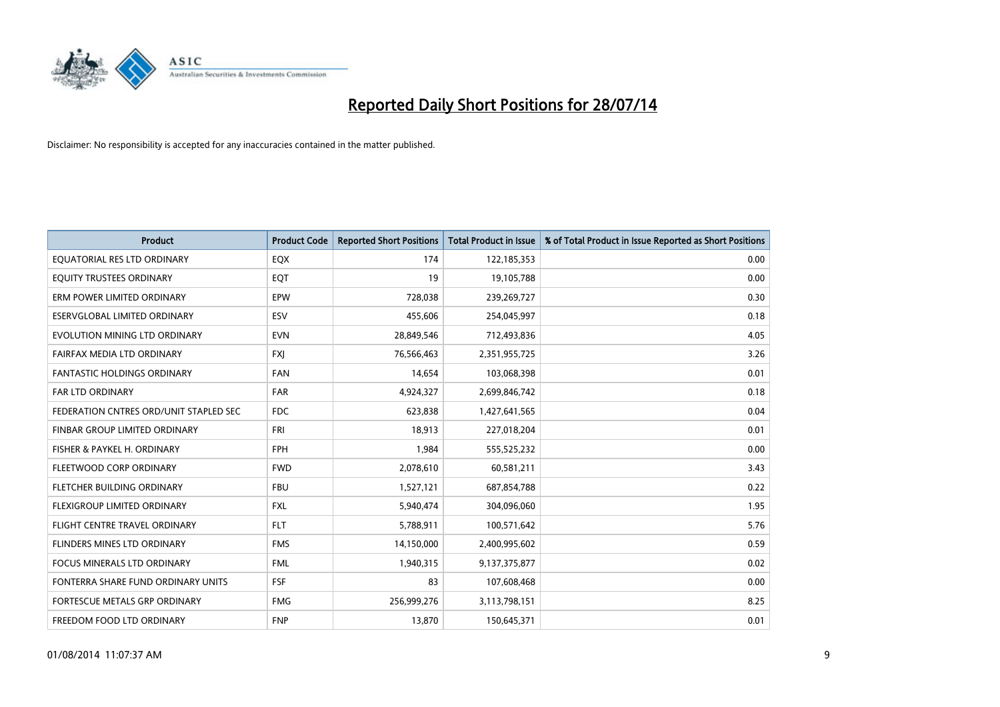

| <b>Product</b>                         | <b>Product Code</b> | <b>Reported Short Positions</b> | <b>Total Product in Issue</b> | % of Total Product in Issue Reported as Short Positions |
|----------------------------------------|---------------------|---------------------------------|-------------------------------|---------------------------------------------------------|
| EQUATORIAL RES LTD ORDINARY            | EQX                 | 174                             | 122,185,353                   | 0.00                                                    |
| EQUITY TRUSTEES ORDINARY               | EQT                 | 19                              | 19,105,788                    | 0.00                                                    |
| ERM POWER LIMITED ORDINARY             | <b>EPW</b>          | 728,038                         | 239,269,727                   | 0.30                                                    |
| ESERVGLOBAL LIMITED ORDINARY           | ESV                 | 455,606                         | 254,045,997                   | 0.18                                                    |
| EVOLUTION MINING LTD ORDINARY          | <b>EVN</b>          | 28,849,546                      | 712,493,836                   | 4.05                                                    |
| FAIRFAX MEDIA LTD ORDINARY             | <b>FXI</b>          | 76,566,463                      | 2,351,955,725                 | 3.26                                                    |
| <b>FANTASTIC HOLDINGS ORDINARY</b>     | <b>FAN</b>          | 14,654                          | 103,068,398                   | 0.01                                                    |
| FAR LTD ORDINARY                       | <b>FAR</b>          | 4,924,327                       | 2,699,846,742                 | 0.18                                                    |
| FEDERATION CNTRES ORD/UNIT STAPLED SEC | <b>FDC</b>          | 623,838                         | 1,427,641,565                 | 0.04                                                    |
| FINBAR GROUP LIMITED ORDINARY          | <b>FRI</b>          | 18,913                          | 227,018,204                   | 0.01                                                    |
| FISHER & PAYKEL H. ORDINARY            | <b>FPH</b>          | 1,984                           | 555,525,232                   | 0.00                                                    |
| FLEETWOOD CORP ORDINARY                | <b>FWD</b>          | 2,078,610                       | 60,581,211                    | 3.43                                                    |
| FLETCHER BUILDING ORDINARY             | <b>FBU</b>          | 1,527,121                       | 687,854,788                   | 0.22                                                    |
| FLEXIGROUP LIMITED ORDINARY            | FXL                 | 5,940,474                       | 304,096,060                   | 1.95                                                    |
| FLIGHT CENTRE TRAVEL ORDINARY          | <b>FLT</b>          | 5,788,911                       | 100,571,642                   | 5.76                                                    |
| FLINDERS MINES LTD ORDINARY            | <b>FMS</b>          | 14,150,000                      | 2,400,995,602                 | 0.59                                                    |
| <b>FOCUS MINERALS LTD ORDINARY</b>     | <b>FML</b>          | 1,940,315                       | 9,137,375,877                 | 0.02                                                    |
| FONTERRA SHARE FUND ORDINARY UNITS     | <b>FSF</b>          | 83                              | 107,608,468                   | 0.00                                                    |
| FORTESCUE METALS GRP ORDINARY          | <b>FMG</b>          | 256,999,276                     | 3,113,798,151                 | 8.25                                                    |
| FREEDOM FOOD LTD ORDINARY              | <b>FNP</b>          | 13,870                          | 150,645,371                   | 0.01                                                    |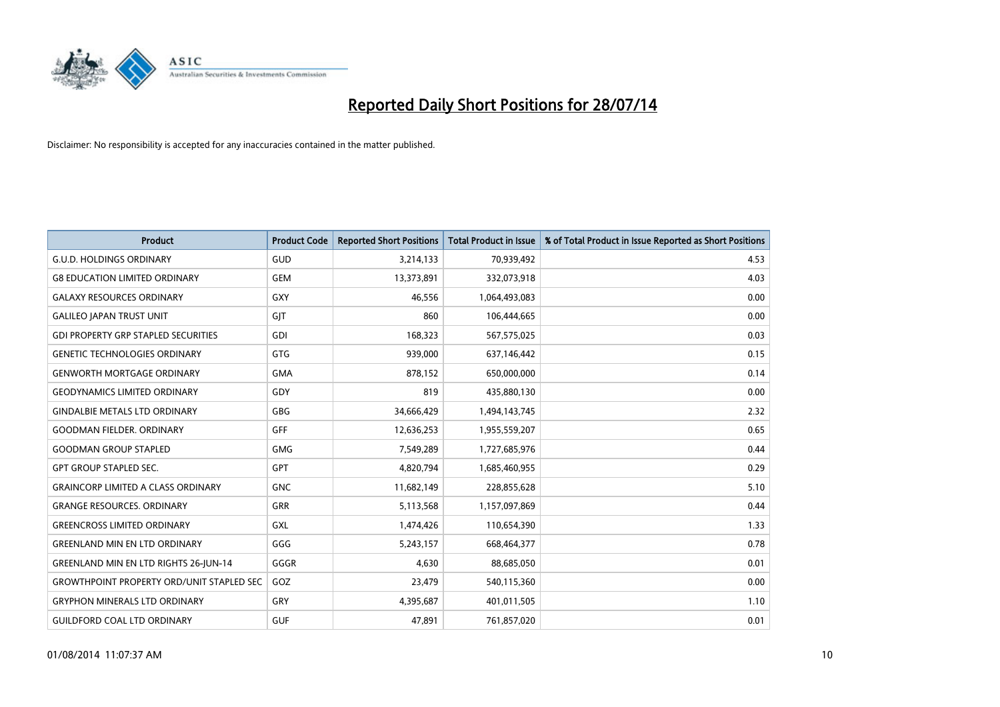

| <b>Product</b>                                   | <b>Product Code</b> | <b>Reported Short Positions</b> | <b>Total Product in Issue</b> | % of Total Product in Issue Reported as Short Positions |
|--------------------------------------------------|---------------------|---------------------------------|-------------------------------|---------------------------------------------------------|
| <b>G.U.D. HOLDINGS ORDINARY</b>                  | GUD                 | 3,214,133                       | 70,939,492                    | 4.53                                                    |
| <b>G8 EDUCATION LIMITED ORDINARY</b>             | <b>GEM</b>          | 13,373,891                      | 332,073,918                   | 4.03                                                    |
| <b>GALAXY RESOURCES ORDINARY</b>                 | <b>GXY</b>          | 46,556                          | 1,064,493,083                 | 0.00                                                    |
| <b>GALILEO JAPAN TRUST UNIT</b>                  | GJT                 | 860                             | 106,444,665                   | 0.00                                                    |
| <b>GDI PROPERTY GRP STAPLED SECURITIES</b>       | <b>GDI</b>          | 168,323                         | 567,575,025                   | 0.03                                                    |
| <b>GENETIC TECHNOLOGIES ORDINARY</b>             | <b>GTG</b>          | 939,000                         | 637,146,442                   | 0.15                                                    |
| <b>GENWORTH MORTGAGE ORDINARY</b>                | <b>GMA</b>          | 878,152                         | 650,000,000                   | 0.14                                                    |
| <b>GEODYNAMICS LIMITED ORDINARY</b>              | GDY                 | 819                             | 435,880,130                   | 0.00                                                    |
| <b>GINDALBIE METALS LTD ORDINARY</b>             | GBG                 | 34,666,429                      | 1,494,143,745                 | 2.32                                                    |
| <b>GOODMAN FIELDER, ORDINARY</b>                 | <b>GFF</b>          | 12,636,253                      | 1,955,559,207                 | 0.65                                                    |
| <b>GOODMAN GROUP STAPLED</b>                     | <b>GMG</b>          | 7,549,289                       | 1,727,685,976                 | 0.44                                                    |
| <b>GPT GROUP STAPLED SEC.</b>                    | <b>GPT</b>          | 4,820,794                       | 1,685,460,955                 | 0.29                                                    |
| <b>GRAINCORP LIMITED A CLASS ORDINARY</b>        | <b>GNC</b>          | 11,682,149                      | 228,855,628                   | 5.10                                                    |
| <b>GRANGE RESOURCES. ORDINARY</b>                | <b>GRR</b>          | 5,113,568                       | 1,157,097,869                 | 0.44                                                    |
| <b>GREENCROSS LIMITED ORDINARY</b>               | <b>GXL</b>          | 1,474,426                       | 110,654,390                   | 1.33                                                    |
| <b>GREENLAND MIN EN LTD ORDINARY</b>             | GGG                 | 5,243,157                       | 668,464,377                   | 0.78                                                    |
| <b>GREENLAND MIN EN LTD RIGHTS 26-JUN-14</b>     | GGGR                | 4,630                           | 88,685,050                    | 0.01                                                    |
| <b>GROWTHPOINT PROPERTY ORD/UNIT STAPLED SEC</b> | GOZ                 | 23,479                          | 540,115,360                   | 0.00                                                    |
| <b>GRYPHON MINERALS LTD ORDINARY</b>             | GRY                 | 4,395,687                       | 401,011,505                   | 1.10                                                    |
| GUILDFORD COAL LTD ORDINARY                      | <b>GUF</b>          | 47,891                          | 761,857,020                   | 0.01                                                    |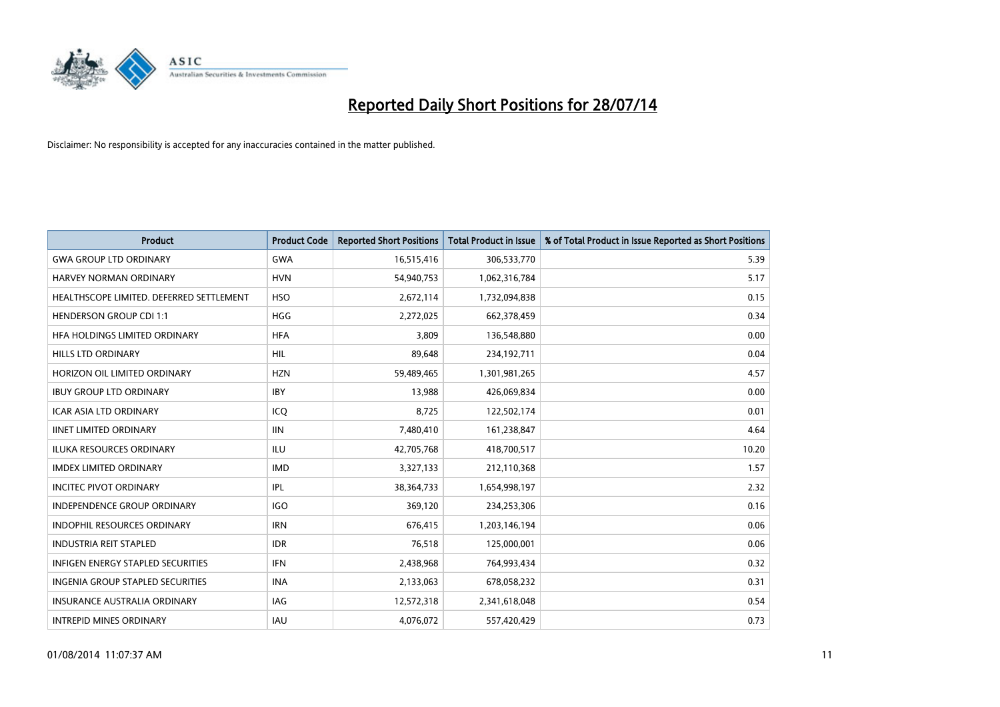

| Product                                  | <b>Product Code</b> | <b>Reported Short Positions</b> | <b>Total Product in Issue</b> | % of Total Product in Issue Reported as Short Positions |
|------------------------------------------|---------------------|---------------------------------|-------------------------------|---------------------------------------------------------|
| <b>GWA GROUP LTD ORDINARY</b>            | <b>GWA</b>          | 16,515,416                      | 306,533,770                   | 5.39                                                    |
| <b>HARVEY NORMAN ORDINARY</b>            | <b>HVN</b>          | 54,940,753                      | 1,062,316,784                 | 5.17                                                    |
| HEALTHSCOPE LIMITED. DEFERRED SETTLEMENT | <b>HSO</b>          | 2,672,114                       | 1,732,094,838                 | 0.15                                                    |
| <b>HENDERSON GROUP CDI 1:1</b>           | <b>HGG</b>          | 2,272,025                       | 662,378,459                   | 0.34                                                    |
| HFA HOLDINGS LIMITED ORDINARY            | <b>HFA</b>          | 3,809                           | 136,548,880                   | 0.00                                                    |
| <b>HILLS LTD ORDINARY</b>                | <b>HIL</b>          | 89,648                          | 234,192,711                   | 0.04                                                    |
| HORIZON OIL LIMITED ORDINARY             | <b>HZN</b>          | 59,489,465                      | 1,301,981,265                 | 4.57                                                    |
| <b>IBUY GROUP LTD ORDINARY</b>           | <b>IBY</b>          | 13,988                          | 426,069,834                   | 0.00                                                    |
| <b>ICAR ASIA LTD ORDINARY</b>            | ICQ                 | 8,725                           | 122,502,174                   | 0.01                                                    |
| <b>IINET LIMITED ORDINARY</b>            | <b>IIN</b>          | 7,480,410                       | 161,238,847                   | 4.64                                                    |
| ILUKA RESOURCES ORDINARY                 | ILU                 | 42,705,768                      | 418,700,517                   | 10.20                                                   |
| <b>IMDEX LIMITED ORDINARY</b>            | <b>IMD</b>          | 3,327,133                       | 212,110,368                   | 1.57                                                    |
| <b>INCITEC PIVOT ORDINARY</b>            | IPL                 | 38,364,733                      | 1,654,998,197                 | 2.32                                                    |
| <b>INDEPENDENCE GROUP ORDINARY</b>       | <b>IGO</b>          | 369,120                         | 234,253,306                   | 0.16                                                    |
| <b>INDOPHIL RESOURCES ORDINARY</b>       | <b>IRN</b>          | 676,415                         | 1,203,146,194                 | 0.06                                                    |
| <b>INDUSTRIA REIT STAPLED</b>            | <b>IDR</b>          | 76,518                          | 125,000,001                   | 0.06                                                    |
| INFIGEN ENERGY STAPLED SECURITIES        | <b>IFN</b>          | 2,438,968                       | 764,993,434                   | 0.32                                                    |
| <b>INGENIA GROUP STAPLED SECURITIES</b>  | <b>INA</b>          | 2,133,063                       | 678,058,232                   | 0.31                                                    |
| <b>INSURANCE AUSTRALIA ORDINARY</b>      | <b>IAG</b>          | 12,572,318                      | 2,341,618,048                 | 0.54                                                    |
| <b>INTREPID MINES ORDINARY</b>           | IAU                 | 4,076,072                       | 557,420,429                   | 0.73                                                    |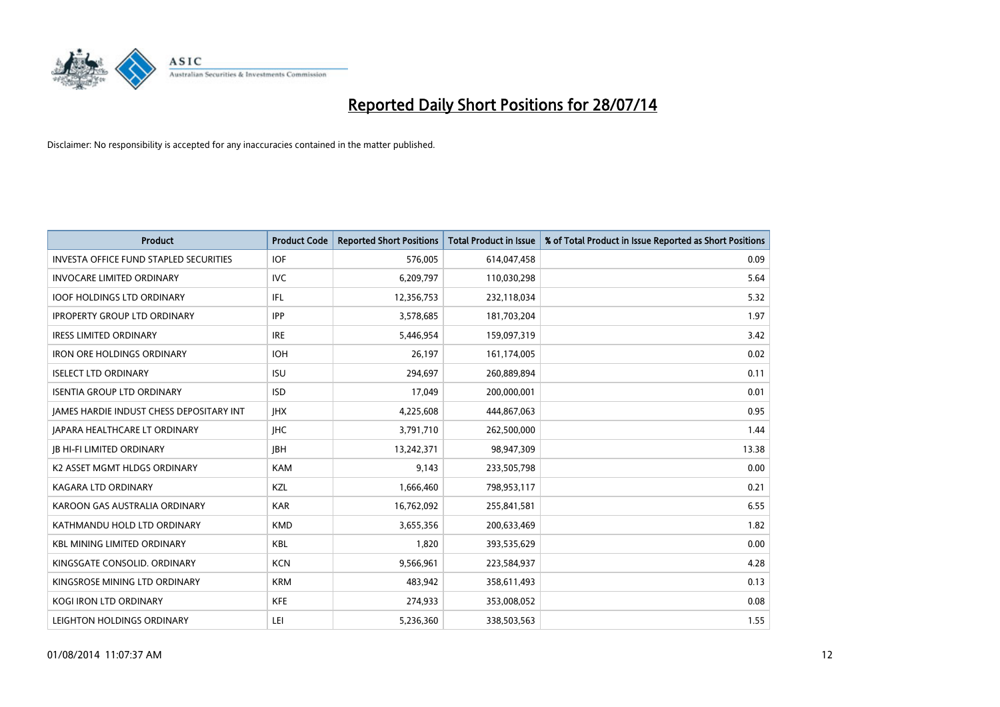

| <b>Product</b>                                | <b>Product Code</b> | <b>Reported Short Positions</b> | <b>Total Product in Issue</b> | % of Total Product in Issue Reported as Short Positions |
|-----------------------------------------------|---------------------|---------------------------------|-------------------------------|---------------------------------------------------------|
| <b>INVESTA OFFICE FUND STAPLED SECURITIES</b> | <b>IOF</b>          | 576,005                         | 614,047,458                   | 0.09                                                    |
| <b>INVOCARE LIMITED ORDINARY</b>              | <b>IVC</b>          | 6,209,797                       | 110,030,298                   | 5.64                                                    |
| <b>IOOF HOLDINGS LTD ORDINARY</b>             | IFL                 | 12,356,753                      | 232,118,034                   | 5.32                                                    |
| <b>IPROPERTY GROUP LTD ORDINARY</b>           | <b>IPP</b>          | 3,578,685                       | 181,703,204                   | 1.97                                                    |
| <b>IRESS LIMITED ORDINARY</b>                 | <b>IRE</b>          | 5,446,954                       | 159,097,319                   | 3.42                                                    |
| <b>IRON ORE HOLDINGS ORDINARY</b>             | <b>IOH</b>          | 26,197                          | 161,174,005                   | 0.02                                                    |
| <b>ISELECT LTD ORDINARY</b>                   | <b>ISU</b>          | 294,697                         | 260,889,894                   | 0.11                                                    |
| <b>ISENTIA GROUP LTD ORDINARY</b>             | <b>ISD</b>          | 17,049                          | 200,000,001                   | 0.01                                                    |
| JAMES HARDIE INDUST CHESS DEPOSITARY INT      | <b>IHX</b>          | 4,225,608                       | 444,867,063                   | 0.95                                                    |
| <b>JAPARA HEALTHCARE LT ORDINARY</b>          | <b>IHC</b>          | 3,791,710                       | 262,500,000                   | 1.44                                                    |
| <b>JB HI-FI LIMITED ORDINARY</b>              | <b>IBH</b>          | 13,242,371                      | 98,947,309                    | 13.38                                                   |
| K2 ASSET MGMT HLDGS ORDINARY                  | <b>KAM</b>          | 9,143                           | 233,505,798                   | 0.00                                                    |
| KAGARA LTD ORDINARY                           | KZL                 | 1,666,460                       | 798,953,117                   | 0.21                                                    |
| KAROON GAS AUSTRALIA ORDINARY                 | <b>KAR</b>          | 16,762,092                      | 255,841,581                   | 6.55                                                    |
| KATHMANDU HOLD LTD ORDINARY                   | <b>KMD</b>          | 3,655,356                       | 200,633,469                   | 1.82                                                    |
| <b>KBL MINING LIMITED ORDINARY</b>            | KBL                 | 1,820                           | 393,535,629                   | 0.00                                                    |
| KINGSGATE CONSOLID. ORDINARY                  | <b>KCN</b>          | 9,566,961                       | 223,584,937                   | 4.28                                                    |
| KINGSROSE MINING LTD ORDINARY                 | <b>KRM</b>          | 483,942                         | 358,611,493                   | 0.13                                                    |
| <b>KOGI IRON LTD ORDINARY</b>                 | <b>KFE</b>          | 274,933                         | 353,008,052                   | 0.08                                                    |
| LEIGHTON HOLDINGS ORDINARY                    | LEI                 | 5,236,360                       | 338,503,563                   | 1.55                                                    |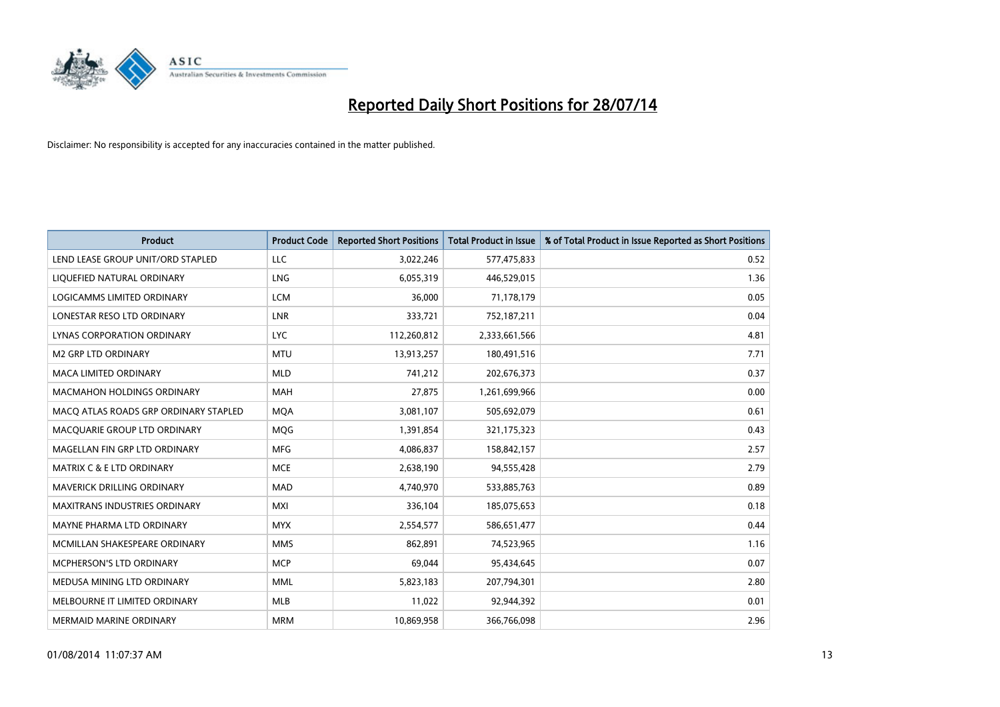

| <b>Product</b>                        | <b>Product Code</b> | <b>Reported Short Positions</b> | <b>Total Product in Issue</b> | % of Total Product in Issue Reported as Short Positions |
|---------------------------------------|---------------------|---------------------------------|-------------------------------|---------------------------------------------------------|
| LEND LEASE GROUP UNIT/ORD STAPLED     | LLC                 | 3,022,246                       | 577,475,833                   | 0.52                                                    |
| LIQUEFIED NATURAL ORDINARY            | <b>LNG</b>          | 6,055,319                       | 446,529,015                   | 1.36                                                    |
| <b>LOGICAMMS LIMITED ORDINARY</b>     | <b>LCM</b>          | 36,000                          | 71,178,179                    | 0.05                                                    |
| LONESTAR RESO LTD ORDINARY            | <b>LNR</b>          | 333,721                         | 752,187,211                   | 0.04                                                    |
| LYNAS CORPORATION ORDINARY            | <b>LYC</b>          | 112,260,812                     | 2,333,661,566                 | 4.81                                                    |
| <b>M2 GRP LTD ORDINARY</b>            | <b>MTU</b>          | 13,913,257                      | 180,491,516                   | 7.71                                                    |
| <b>MACA LIMITED ORDINARY</b>          | <b>MLD</b>          | 741,212                         | 202,676,373                   | 0.37                                                    |
| MACMAHON HOLDINGS ORDINARY            | <b>MAH</b>          | 27,875                          | 1,261,699,966                 | 0.00                                                    |
| MACO ATLAS ROADS GRP ORDINARY STAPLED | <b>MOA</b>          | 3,081,107                       | 505,692,079                   | 0.61                                                    |
| MACQUARIE GROUP LTD ORDINARY          | MQG                 | 1,391,854                       | 321,175,323                   | 0.43                                                    |
| MAGELLAN FIN GRP LTD ORDINARY         | <b>MFG</b>          | 4,086,837                       | 158,842,157                   | 2.57                                                    |
| <b>MATRIX C &amp; E LTD ORDINARY</b>  | <b>MCE</b>          | 2,638,190                       | 94,555,428                    | 2.79                                                    |
| MAVERICK DRILLING ORDINARY            | <b>MAD</b>          | 4,740,970                       | 533,885,763                   | 0.89                                                    |
| <b>MAXITRANS INDUSTRIES ORDINARY</b>  | <b>MXI</b>          | 336,104                         | 185,075,653                   | 0.18                                                    |
| MAYNE PHARMA LTD ORDINARY             | <b>MYX</b>          | 2,554,577                       | 586,651,477                   | 0.44                                                    |
| MCMILLAN SHAKESPEARE ORDINARY         | <b>MMS</b>          | 862,891                         | 74,523,965                    | 1.16                                                    |
| MCPHERSON'S LTD ORDINARY              | <b>MCP</b>          | 69,044                          | 95,434,645                    | 0.07                                                    |
| MEDUSA MINING LTD ORDINARY            | <b>MML</b>          | 5,823,183                       | 207,794,301                   | 2.80                                                    |
| MELBOURNE IT LIMITED ORDINARY         | MLB                 | 11,022                          | 92,944,392                    | 0.01                                                    |
| <b>MERMAID MARINE ORDINARY</b>        | <b>MRM</b>          | 10,869,958                      | 366,766,098                   | 2.96                                                    |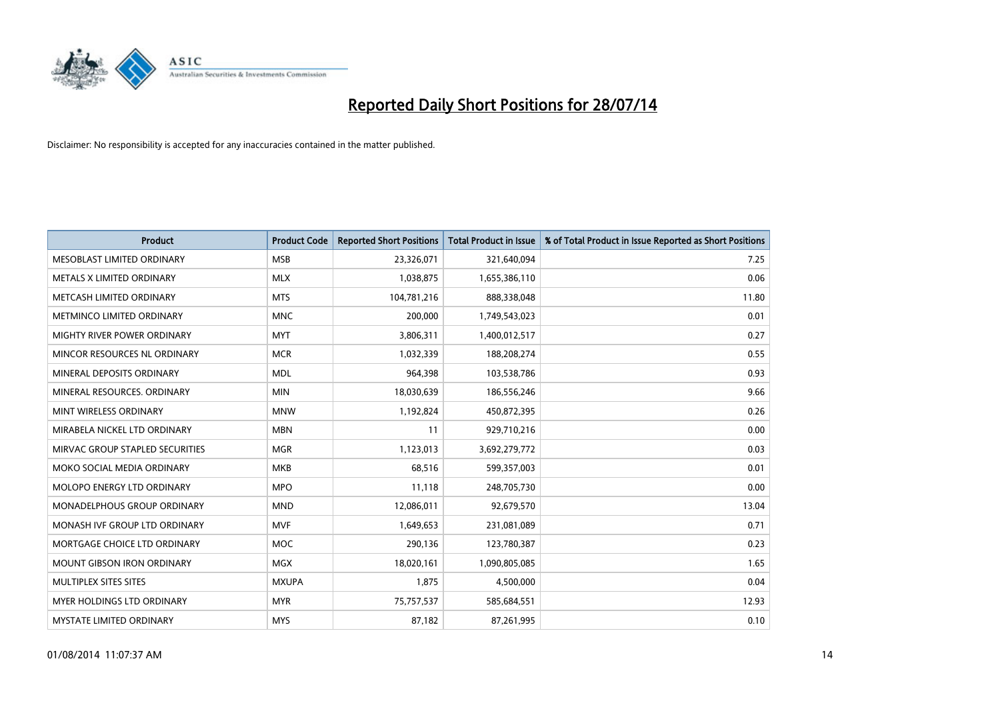

| <b>Product</b>                     | <b>Product Code</b> | <b>Reported Short Positions</b> | <b>Total Product in Issue</b> | % of Total Product in Issue Reported as Short Positions |
|------------------------------------|---------------------|---------------------------------|-------------------------------|---------------------------------------------------------|
| MESOBLAST LIMITED ORDINARY         | <b>MSB</b>          | 23,326,071                      | 321,640,094                   | 7.25                                                    |
| METALS X LIMITED ORDINARY          | <b>MLX</b>          | 1,038,875                       | 1,655,386,110                 | 0.06                                                    |
| METCASH LIMITED ORDINARY           | <b>MTS</b>          | 104,781,216                     | 888,338,048                   | 11.80                                                   |
| METMINCO LIMITED ORDINARY          | <b>MNC</b>          | 200,000                         | 1,749,543,023                 | 0.01                                                    |
| MIGHTY RIVER POWER ORDINARY        | <b>MYT</b>          | 3,806,311                       | 1,400,012,517                 | 0.27                                                    |
| MINCOR RESOURCES NL ORDINARY       | <b>MCR</b>          | 1,032,339                       | 188,208,274                   | 0.55                                                    |
| MINERAL DEPOSITS ORDINARY          | <b>MDL</b>          | 964,398                         | 103,538,786                   | 0.93                                                    |
| MINERAL RESOURCES, ORDINARY        | <b>MIN</b>          | 18,030,639                      | 186,556,246                   | 9.66                                                    |
| MINT WIRELESS ORDINARY             | <b>MNW</b>          | 1,192,824                       | 450,872,395                   | 0.26                                                    |
| MIRABELA NICKEL LTD ORDINARY       | <b>MBN</b>          | 11                              | 929,710,216                   | 0.00                                                    |
| MIRVAC GROUP STAPLED SECURITIES    | <b>MGR</b>          | 1,123,013                       | 3,692,279,772                 | 0.03                                                    |
| MOKO SOCIAL MEDIA ORDINARY         | MKB                 | 68,516                          | 599,357,003                   | 0.01                                                    |
| MOLOPO ENERGY LTD ORDINARY         | <b>MPO</b>          | 11,118                          | 248,705,730                   | 0.00                                                    |
| <b>MONADELPHOUS GROUP ORDINARY</b> | <b>MND</b>          | 12,086,011                      | 92,679,570                    | 13.04                                                   |
| MONASH IVF GROUP LTD ORDINARY      | <b>MVF</b>          | 1,649,653                       | 231,081,089                   | 0.71                                                    |
| MORTGAGE CHOICE LTD ORDINARY       | MOC                 | 290,136                         | 123,780,387                   | 0.23                                                    |
| MOUNT GIBSON IRON ORDINARY         | MGX                 | 18,020,161                      | 1,090,805,085                 | 1.65                                                    |
| MULTIPLEX SITES SITES              | <b>MXUPA</b>        | 1,875                           | 4,500,000                     | 0.04                                                    |
| <b>MYER HOLDINGS LTD ORDINARY</b>  | <b>MYR</b>          | 75,757,537                      | 585,684,551                   | 12.93                                                   |
| MYSTATE LIMITED ORDINARY           | <b>MYS</b>          | 87,182                          | 87,261,995                    | 0.10                                                    |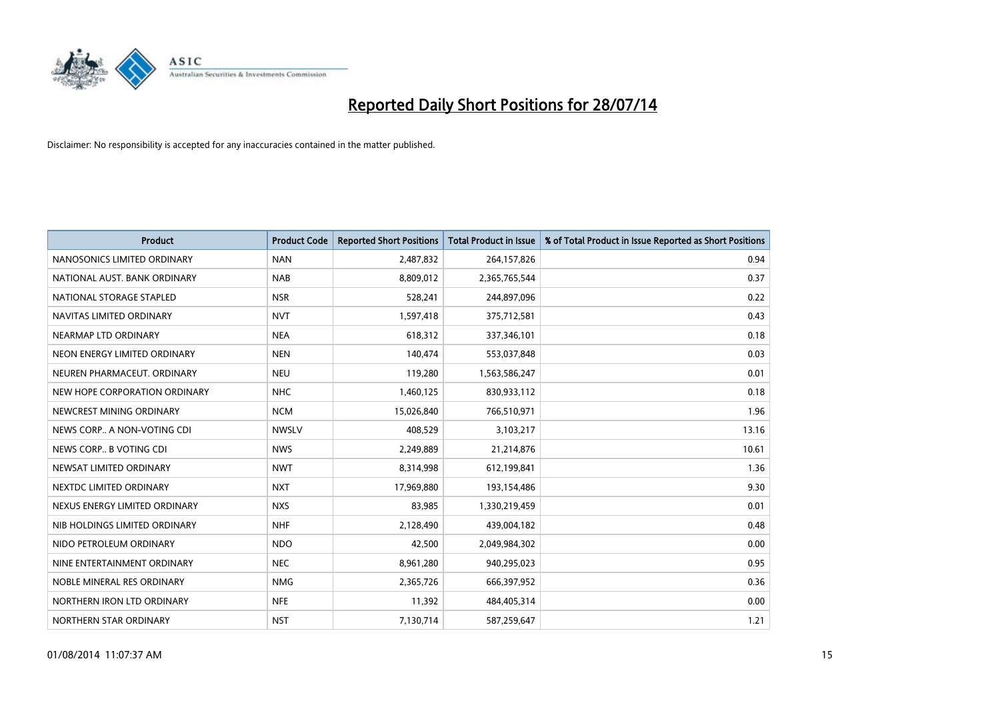

| <b>Product</b>                | <b>Product Code</b> | <b>Reported Short Positions</b> | <b>Total Product in Issue</b> | % of Total Product in Issue Reported as Short Positions |
|-------------------------------|---------------------|---------------------------------|-------------------------------|---------------------------------------------------------|
| NANOSONICS LIMITED ORDINARY   | <b>NAN</b>          | 2,487,832                       | 264,157,826                   | 0.94                                                    |
| NATIONAL AUST. BANK ORDINARY  | <b>NAB</b>          | 8,809,012                       | 2,365,765,544                 | 0.37                                                    |
| NATIONAL STORAGE STAPLED      | <b>NSR</b>          | 528,241                         | 244,897,096                   | 0.22                                                    |
| NAVITAS LIMITED ORDINARY      | <b>NVT</b>          | 1,597,418                       | 375,712,581                   | 0.43                                                    |
| NEARMAP LTD ORDINARY          | <b>NEA</b>          | 618,312                         | 337,346,101                   | 0.18                                                    |
| NEON ENERGY LIMITED ORDINARY  | <b>NEN</b>          | 140,474                         | 553,037,848                   | 0.03                                                    |
| NEUREN PHARMACEUT, ORDINARY   | <b>NEU</b>          | 119,280                         | 1,563,586,247                 | 0.01                                                    |
| NEW HOPE CORPORATION ORDINARY | <b>NHC</b>          | 1,460,125                       | 830,933,112                   | 0.18                                                    |
| NEWCREST MINING ORDINARY      | <b>NCM</b>          | 15,026,840                      | 766,510,971                   | 1.96                                                    |
| NEWS CORP A NON-VOTING CDI    | <b>NWSLV</b>        | 408,529                         | 3,103,217                     | 13.16                                                   |
| NEWS CORP B VOTING CDI        | <b>NWS</b>          | 2,249,889                       | 21,214,876                    | 10.61                                                   |
| NEWSAT LIMITED ORDINARY       | <b>NWT</b>          | 8,314,998                       | 612,199,841                   | 1.36                                                    |
| NEXTDC LIMITED ORDINARY       | <b>NXT</b>          | 17,969,880                      | 193,154,486                   | 9.30                                                    |
| NEXUS ENERGY LIMITED ORDINARY | <b>NXS</b>          | 83,985                          | 1,330,219,459                 | 0.01                                                    |
| NIB HOLDINGS LIMITED ORDINARY | <b>NHF</b>          | 2,128,490                       | 439,004,182                   | 0.48                                                    |
| NIDO PETROLEUM ORDINARY       | <b>NDO</b>          | 42,500                          | 2,049,984,302                 | 0.00                                                    |
| NINE ENTERTAINMENT ORDINARY   | <b>NEC</b>          | 8,961,280                       | 940,295,023                   | 0.95                                                    |
| NOBLE MINERAL RES ORDINARY    | <b>NMG</b>          | 2,365,726                       | 666,397,952                   | 0.36                                                    |
| NORTHERN IRON LTD ORDINARY    | <b>NFE</b>          | 11,392                          | 484,405,314                   | 0.00                                                    |
| NORTHERN STAR ORDINARY        | <b>NST</b>          | 7,130,714                       | 587,259,647                   | 1.21                                                    |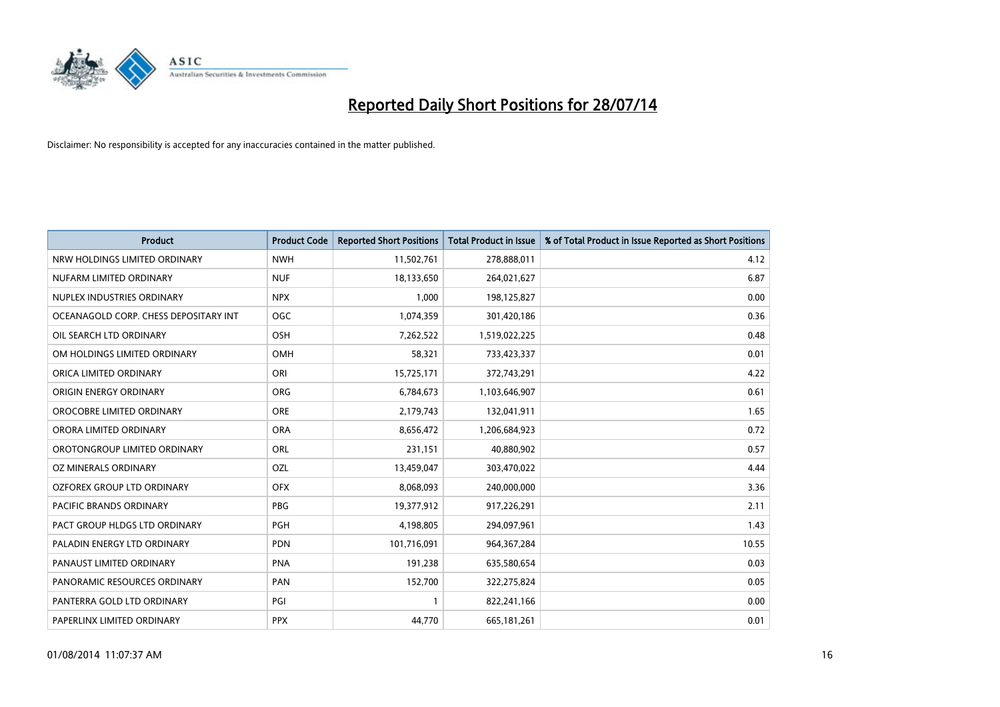

| <b>Product</b>                        | <b>Product Code</b> | <b>Reported Short Positions</b> | <b>Total Product in Issue</b> | % of Total Product in Issue Reported as Short Positions |
|---------------------------------------|---------------------|---------------------------------|-------------------------------|---------------------------------------------------------|
| NRW HOLDINGS LIMITED ORDINARY         | <b>NWH</b>          | 11,502,761                      | 278,888,011                   | 4.12                                                    |
| NUFARM LIMITED ORDINARY               | <b>NUF</b>          | 18,133,650                      | 264,021,627                   | 6.87                                                    |
| NUPLEX INDUSTRIES ORDINARY            | <b>NPX</b>          | 1,000                           | 198,125,827                   | 0.00                                                    |
| OCEANAGOLD CORP. CHESS DEPOSITARY INT | <b>OGC</b>          | 1,074,359                       | 301,420,186                   | 0.36                                                    |
| OIL SEARCH LTD ORDINARY               | OSH                 | 7,262,522                       | 1,519,022,225                 | 0.48                                                    |
| OM HOLDINGS LIMITED ORDINARY          | OMH                 | 58,321                          | 733,423,337                   | 0.01                                                    |
| ORICA LIMITED ORDINARY                | ORI                 | 15,725,171                      | 372,743,291                   | 4.22                                                    |
| ORIGIN ENERGY ORDINARY                | <b>ORG</b>          | 6,784,673                       | 1,103,646,907                 | 0.61                                                    |
| OROCOBRE LIMITED ORDINARY             | <b>ORE</b>          | 2,179,743                       | 132,041,911                   | 1.65                                                    |
| ORORA LIMITED ORDINARY                | <b>ORA</b>          | 8,656,472                       | 1,206,684,923                 | 0.72                                                    |
| OROTONGROUP LIMITED ORDINARY          | ORL                 | 231,151                         | 40,880,902                    | 0.57                                                    |
| OZ MINERALS ORDINARY                  | <b>OZL</b>          | 13,459,047                      | 303,470,022                   | 4.44                                                    |
| OZFOREX GROUP LTD ORDINARY            | <b>OFX</b>          | 8,068,093                       | 240,000,000                   | 3.36                                                    |
| <b>PACIFIC BRANDS ORDINARY</b>        | <b>PBG</b>          | 19,377,912                      | 917,226,291                   | 2.11                                                    |
| PACT GROUP HLDGS LTD ORDINARY         | PGH                 | 4,198,805                       | 294,097,961                   | 1.43                                                    |
| PALADIN ENERGY LTD ORDINARY           | PDN                 | 101,716,091                     | 964, 367, 284                 | 10.55                                                   |
| PANAUST LIMITED ORDINARY              | <b>PNA</b>          | 191,238                         | 635,580,654                   | 0.03                                                    |
| PANORAMIC RESOURCES ORDINARY          | PAN                 | 152,700                         | 322,275,824                   | 0.05                                                    |
| PANTERRA GOLD LTD ORDINARY            | PGI                 | $\mathbf{1}$                    | 822,241,166                   | 0.00                                                    |
| PAPERLINX LIMITED ORDINARY            | <b>PPX</b>          | 44,770                          | 665, 181, 261                 | 0.01                                                    |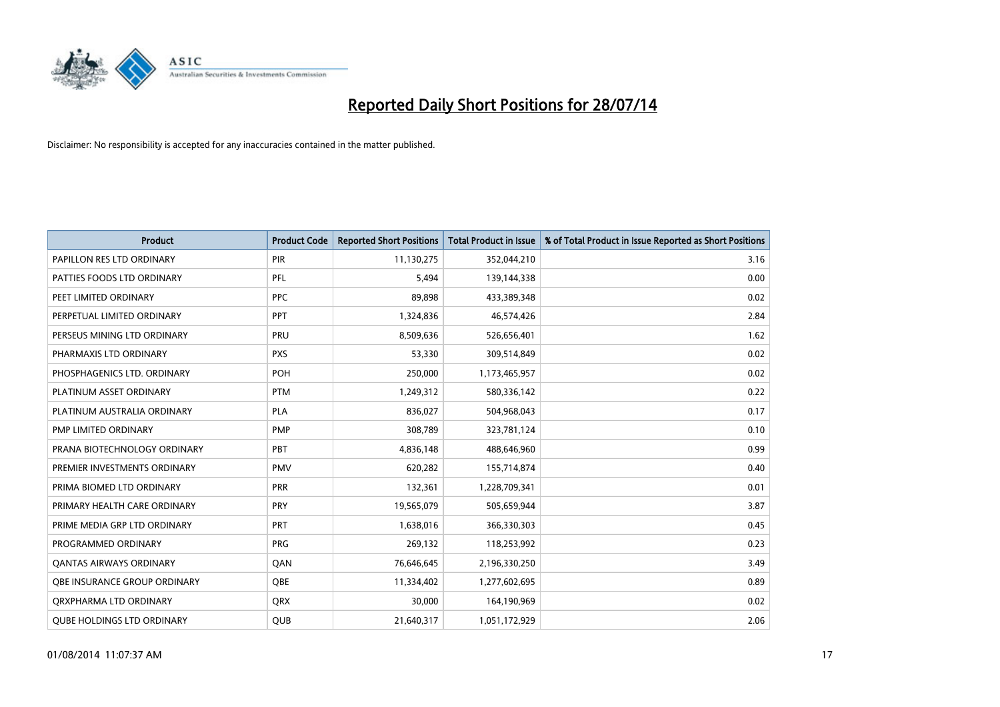

| <b>Product</b>                    | <b>Product Code</b> | <b>Reported Short Positions</b> | <b>Total Product in Issue</b> | % of Total Product in Issue Reported as Short Positions |
|-----------------------------------|---------------------|---------------------------------|-------------------------------|---------------------------------------------------------|
| PAPILLON RES LTD ORDINARY         | PIR                 | 11,130,275                      | 352,044,210                   | 3.16                                                    |
| PATTIES FOODS LTD ORDINARY        | <b>PFL</b>          | 5,494                           | 139,144,338                   | 0.00                                                    |
| PEET LIMITED ORDINARY             | <b>PPC</b>          | 89,898                          | 433,389,348                   | 0.02                                                    |
| PERPETUAL LIMITED ORDINARY        | <b>PPT</b>          | 1,324,836                       | 46,574,426                    | 2.84                                                    |
| PERSEUS MINING LTD ORDINARY       | PRU                 | 8,509,636                       | 526,656,401                   | 1.62                                                    |
| PHARMAXIS LTD ORDINARY            | <b>PXS</b>          | 53,330                          | 309,514,849                   | 0.02                                                    |
| PHOSPHAGENICS LTD. ORDINARY       | POH                 | 250,000                         | 1,173,465,957                 | 0.02                                                    |
| PLATINUM ASSET ORDINARY           | <b>PTM</b>          | 1,249,312                       | 580,336,142                   | 0.22                                                    |
| PLATINUM AUSTRALIA ORDINARY       | <b>PLA</b>          | 836,027                         | 504,968,043                   | 0.17                                                    |
| PMP LIMITED ORDINARY              | <b>PMP</b>          | 308,789                         | 323,781,124                   | 0.10                                                    |
| PRANA BIOTECHNOLOGY ORDINARY      | PBT                 | 4,836,148                       | 488,646,960                   | 0.99                                                    |
| PREMIER INVESTMENTS ORDINARY      | <b>PMV</b>          | 620,282                         | 155,714,874                   | 0.40                                                    |
| PRIMA BIOMED LTD ORDINARY         | <b>PRR</b>          | 132,361                         | 1,228,709,341                 | 0.01                                                    |
| PRIMARY HEALTH CARE ORDINARY      | <b>PRY</b>          | 19,565,079                      | 505,659,944                   | 3.87                                                    |
| PRIME MEDIA GRP LTD ORDINARY      | PRT                 | 1,638,016                       | 366,330,303                   | 0.45                                                    |
| PROGRAMMED ORDINARY               | <b>PRG</b>          | 269,132                         | 118,253,992                   | 0.23                                                    |
| <b>QANTAS AIRWAYS ORDINARY</b>    | QAN                 | 76,646,645                      | 2,196,330,250                 | 3.49                                                    |
| OBE INSURANCE GROUP ORDINARY      | <b>OBE</b>          | 11,334,402                      | 1,277,602,695                 | 0.89                                                    |
| ORXPHARMA LTD ORDINARY            | QRX                 | 30,000                          | 164,190,969                   | 0.02                                                    |
| <b>QUBE HOLDINGS LTD ORDINARY</b> | QUB                 | 21,640,317                      | 1,051,172,929                 | 2.06                                                    |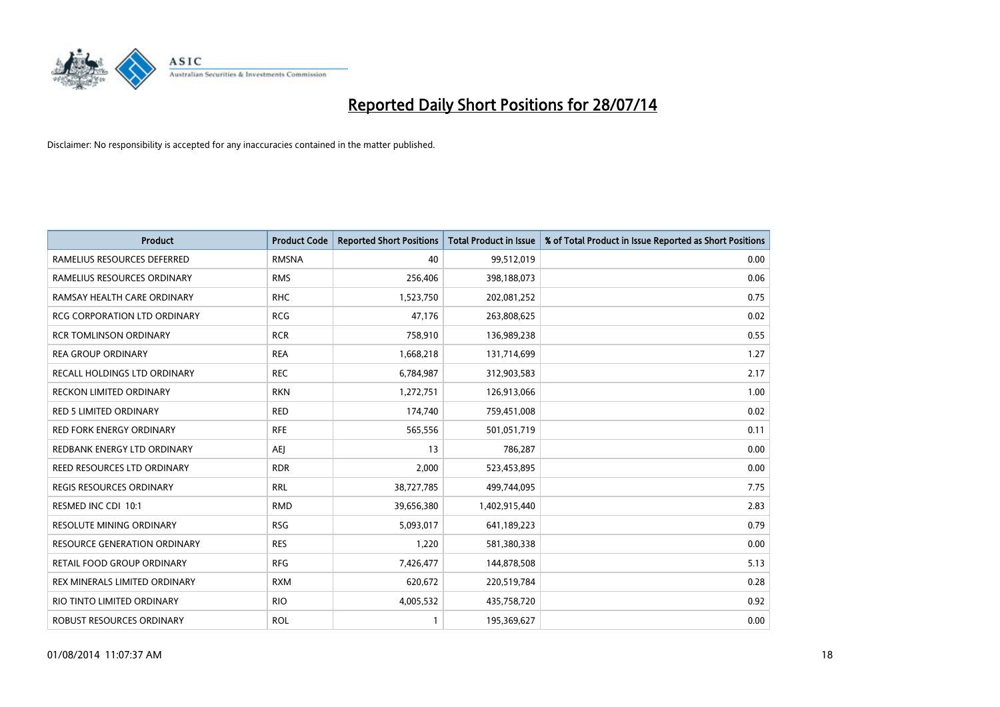

| Product                             | <b>Product Code</b> | <b>Reported Short Positions</b> | <b>Total Product in Issue</b> | % of Total Product in Issue Reported as Short Positions |
|-------------------------------------|---------------------|---------------------------------|-------------------------------|---------------------------------------------------------|
| RAMELIUS RESOURCES DEFERRED         | <b>RMSNA</b>        | 40                              | 99,512,019                    | 0.00                                                    |
| RAMELIUS RESOURCES ORDINARY         | <b>RMS</b>          | 256,406                         | 398,188,073                   | 0.06                                                    |
| RAMSAY HEALTH CARE ORDINARY         | <b>RHC</b>          | 1,523,750                       | 202,081,252                   | 0.75                                                    |
| RCG CORPORATION LTD ORDINARY        | <b>RCG</b>          | 47,176                          | 263,808,625                   | 0.02                                                    |
| <b>RCR TOMLINSON ORDINARY</b>       | <b>RCR</b>          | 758,910                         | 136,989,238                   | 0.55                                                    |
| <b>REA GROUP ORDINARY</b>           | <b>REA</b>          | 1,668,218                       | 131,714,699                   | 1.27                                                    |
| RECALL HOLDINGS LTD ORDINARY        | <b>REC</b>          | 6,784,987                       | 312,903,583                   | 2.17                                                    |
| RECKON LIMITED ORDINARY             | <b>RKN</b>          | 1,272,751                       | 126,913,066                   | 1.00                                                    |
| <b>RED 5 LIMITED ORDINARY</b>       | <b>RED</b>          | 174,740                         | 759,451,008                   | 0.02                                                    |
| RED FORK ENERGY ORDINARY            | <b>RFE</b>          | 565,556                         | 501,051,719                   | 0.11                                                    |
| REDBANK ENERGY LTD ORDINARY         | <b>AEJ</b>          | 13                              | 786,287                       | 0.00                                                    |
| REED RESOURCES LTD ORDINARY         | <b>RDR</b>          | 2,000                           | 523,453,895                   | 0.00                                                    |
| REGIS RESOURCES ORDINARY            | <b>RRL</b>          | 38,727,785                      | 499,744,095                   | 7.75                                                    |
| RESMED INC CDI 10:1                 | <b>RMD</b>          | 39,656,380                      | 1,402,915,440                 | 2.83                                                    |
| RESOLUTE MINING ORDINARY            | <b>RSG</b>          | 5,093,017                       | 641,189,223                   | 0.79                                                    |
| <b>RESOURCE GENERATION ORDINARY</b> | <b>RES</b>          | 1,220                           | 581,380,338                   | 0.00                                                    |
| RETAIL FOOD GROUP ORDINARY          | <b>RFG</b>          | 7,426,477                       | 144,878,508                   | 5.13                                                    |
| REX MINERALS LIMITED ORDINARY       | <b>RXM</b>          | 620,672                         | 220,519,784                   | 0.28                                                    |
| RIO TINTO LIMITED ORDINARY          | <b>RIO</b>          | 4,005,532                       | 435,758,720                   | 0.92                                                    |
| ROBUST RESOURCES ORDINARY           | <b>ROL</b>          | $\mathbf{1}$                    | 195,369,627                   | 0.00                                                    |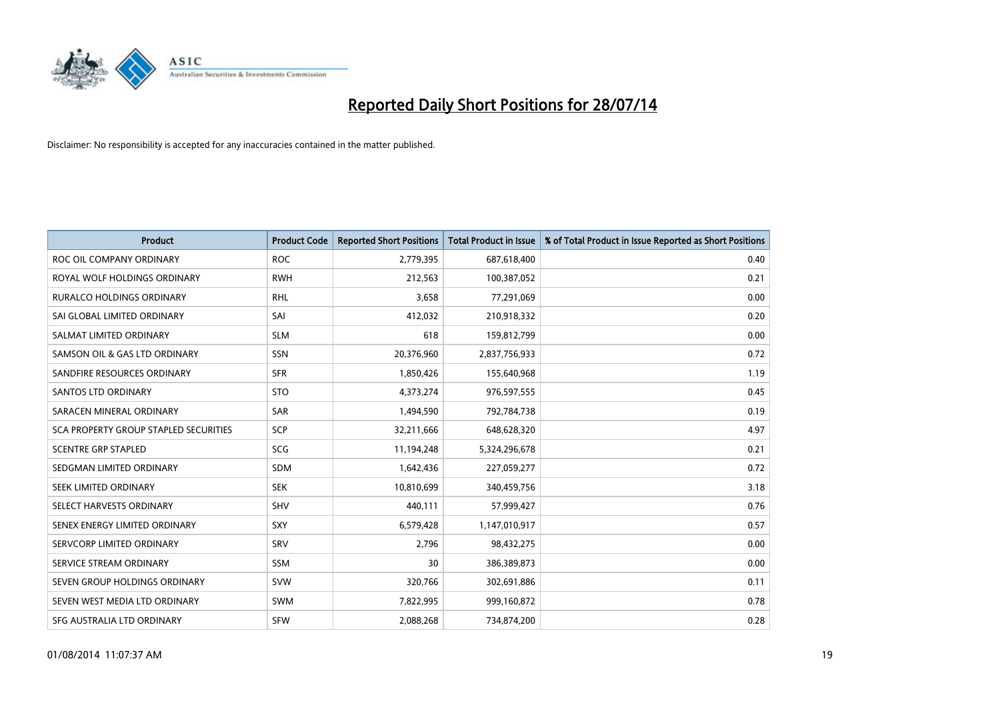

| <b>Product</b>                               | <b>Product Code</b> | <b>Reported Short Positions</b> | <b>Total Product in Issue</b> | % of Total Product in Issue Reported as Short Positions |
|----------------------------------------------|---------------------|---------------------------------|-------------------------------|---------------------------------------------------------|
| ROC OIL COMPANY ORDINARY                     | <b>ROC</b>          | 2,779,395                       | 687,618,400                   | 0.40                                                    |
| ROYAL WOLF HOLDINGS ORDINARY                 | <b>RWH</b>          | 212,563                         | 100,387,052                   | 0.21                                                    |
| <b>RURALCO HOLDINGS ORDINARY</b>             | <b>RHL</b>          | 3,658                           | 77,291,069                    | 0.00                                                    |
| SAI GLOBAL LIMITED ORDINARY                  | SAI                 | 412,032                         | 210,918,332                   | 0.20                                                    |
| SALMAT LIMITED ORDINARY                      | <b>SLM</b>          | 618                             | 159,812,799                   | 0.00                                                    |
| SAMSON OIL & GAS LTD ORDINARY                | SSN                 | 20,376,960                      | 2,837,756,933                 | 0.72                                                    |
| SANDFIRE RESOURCES ORDINARY                  | <b>SFR</b>          | 1,850,426                       | 155,640,968                   | 1.19                                                    |
| <b>SANTOS LTD ORDINARY</b>                   | <b>STO</b>          | 4,373,274                       | 976,597,555                   | 0.45                                                    |
| SARACEN MINERAL ORDINARY                     | <b>SAR</b>          | 1,494,590                       | 792,784,738                   | 0.19                                                    |
| <b>SCA PROPERTY GROUP STAPLED SECURITIES</b> | SCP                 | 32,211,666                      | 648,628,320                   | 4.97                                                    |
| <b>SCENTRE GRP STAPLED</b>                   | SCG                 | 11,194,248                      | 5,324,296,678                 | 0.21                                                    |
| SEDGMAN LIMITED ORDINARY                     | SDM                 | 1,642,436                       | 227,059,277                   | 0.72                                                    |
| SEEK LIMITED ORDINARY                        | <b>SEK</b>          | 10,810,699                      | 340,459,756                   | 3.18                                                    |
| SELECT HARVESTS ORDINARY                     | <b>SHV</b>          | 440,111                         | 57,999,427                    | 0.76                                                    |
| SENEX ENERGY LIMITED ORDINARY                | SXY                 | 6,579,428                       | 1,147,010,917                 | 0.57                                                    |
| SERVCORP LIMITED ORDINARY                    | SRV                 | 2,796                           | 98,432,275                    | 0.00                                                    |
| SERVICE STREAM ORDINARY                      | SSM                 | 30                              | 386,389,873                   | 0.00                                                    |
| SEVEN GROUP HOLDINGS ORDINARY                | <b>SVW</b>          | 320,766                         | 302,691,886                   | 0.11                                                    |
| SEVEN WEST MEDIA LTD ORDINARY                | SWM                 | 7,822,995                       | 999,160,872                   | 0.78                                                    |
| SFG AUSTRALIA LTD ORDINARY                   | <b>SFW</b>          | 2,088,268                       | 734,874,200                   | 0.28                                                    |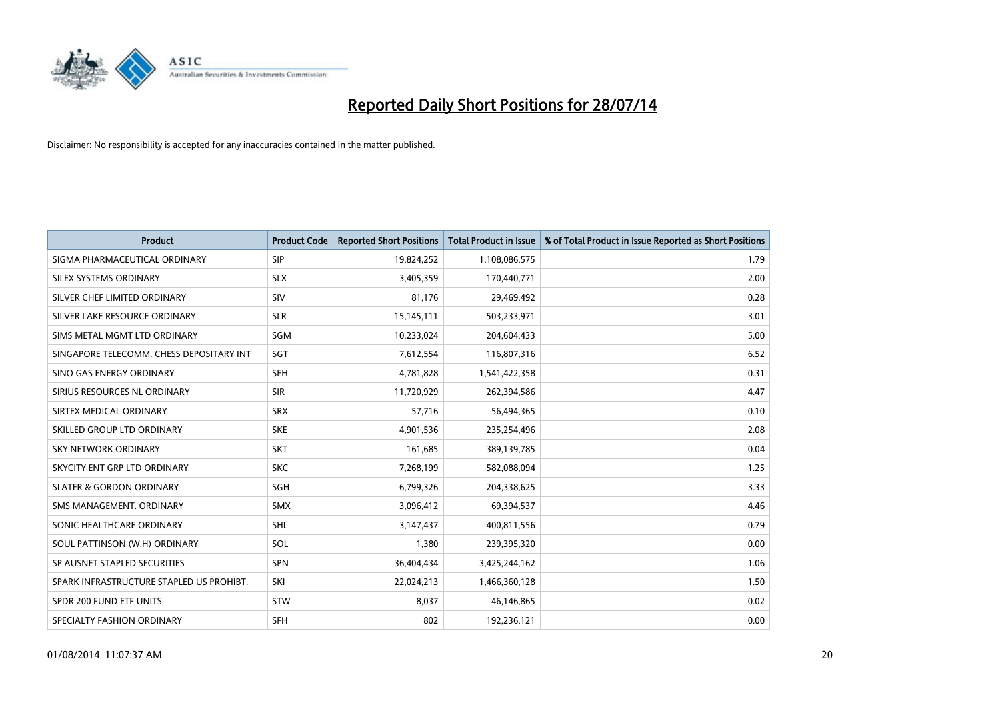

| <b>Product</b>                           | <b>Product Code</b> | <b>Reported Short Positions</b> | <b>Total Product in Issue</b> | % of Total Product in Issue Reported as Short Positions |
|------------------------------------------|---------------------|---------------------------------|-------------------------------|---------------------------------------------------------|
| SIGMA PHARMACEUTICAL ORDINARY            | <b>SIP</b>          | 19,824,252                      | 1,108,086,575                 | 1.79                                                    |
| SILEX SYSTEMS ORDINARY                   | <b>SLX</b>          | 3,405,359                       | 170,440,771                   | 2.00                                                    |
| SILVER CHEF LIMITED ORDINARY             | SIV                 | 81,176                          | 29,469,492                    | 0.28                                                    |
| SILVER LAKE RESOURCE ORDINARY            | <b>SLR</b>          | 15,145,111                      | 503,233,971                   | 3.01                                                    |
| SIMS METAL MGMT LTD ORDINARY             | SGM                 | 10,233,024                      | 204,604,433                   | 5.00                                                    |
| SINGAPORE TELECOMM. CHESS DEPOSITARY INT | SGT                 | 7,612,554                       | 116,807,316                   | 6.52                                                    |
| SINO GAS ENERGY ORDINARY                 | <b>SEH</b>          | 4,781,828                       | 1,541,422,358                 | 0.31                                                    |
| SIRIUS RESOURCES NL ORDINARY             | <b>SIR</b>          | 11,720,929                      | 262,394,586                   | 4.47                                                    |
| SIRTEX MEDICAL ORDINARY                  | <b>SRX</b>          | 57,716                          | 56,494,365                    | 0.10                                                    |
| SKILLED GROUP LTD ORDINARY               | <b>SKE</b>          | 4,901,536                       | 235,254,496                   | 2.08                                                    |
| SKY NETWORK ORDINARY                     | <b>SKT</b>          | 161,685                         | 389,139,785                   | 0.04                                                    |
| SKYCITY ENT GRP LTD ORDINARY             | <b>SKC</b>          | 7,268,199                       | 582,088,094                   | 1.25                                                    |
| <b>SLATER &amp; GORDON ORDINARY</b>      | SGH                 | 6,799,326                       | 204,338,625                   | 3.33                                                    |
| SMS MANAGEMENT, ORDINARY                 | <b>SMX</b>          | 3,096,412                       | 69,394,537                    | 4.46                                                    |
| SONIC HEALTHCARE ORDINARY                | SHL                 | 3,147,437                       | 400,811,556                   | 0.79                                                    |
| SOUL PATTINSON (W.H) ORDINARY            | SOL                 | 1,380                           | 239,395,320                   | 0.00                                                    |
| SP AUSNET STAPLED SECURITIES             | <b>SPN</b>          | 36,404,434                      | 3,425,244,162                 | 1.06                                                    |
| SPARK INFRASTRUCTURE STAPLED US PROHIBT. | SKI                 | 22,024,213                      | 1,466,360,128                 | 1.50                                                    |
| SPDR 200 FUND ETF UNITS                  | <b>STW</b>          | 8,037                           | 46,146,865                    | 0.02                                                    |
| SPECIALTY FASHION ORDINARY               | <b>SFH</b>          | 802                             | 192,236,121                   | 0.00                                                    |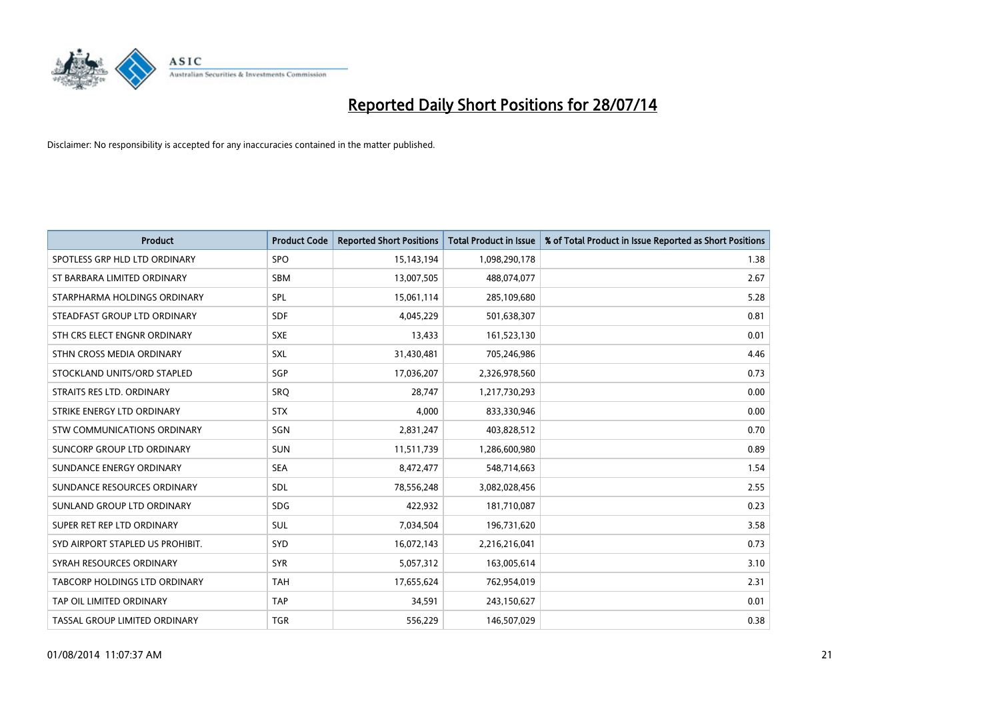

| <b>Product</b>                   | <b>Product Code</b> | <b>Reported Short Positions</b> | <b>Total Product in Issue</b> | % of Total Product in Issue Reported as Short Positions |
|----------------------------------|---------------------|---------------------------------|-------------------------------|---------------------------------------------------------|
| SPOTLESS GRP HLD LTD ORDINARY    | <b>SPO</b>          | 15,143,194                      | 1,098,290,178                 | 1.38                                                    |
| ST BARBARA LIMITED ORDINARY      | SBM                 | 13,007,505                      | 488,074,077                   | 2.67                                                    |
| STARPHARMA HOLDINGS ORDINARY     | <b>SPL</b>          | 15,061,114                      | 285,109,680                   | 5.28                                                    |
| STEADFAST GROUP LTD ORDINARY     | <b>SDF</b>          | 4,045,229                       | 501,638,307                   | 0.81                                                    |
| STH CRS ELECT ENGNR ORDINARY     | <b>SXE</b>          | 13,433                          | 161,523,130                   | 0.01                                                    |
| STHN CROSS MEDIA ORDINARY        | <b>SXL</b>          | 31,430,481                      | 705,246,986                   | 4.46                                                    |
| STOCKLAND UNITS/ORD STAPLED      | <b>SGP</b>          | 17,036,207                      | 2,326,978,560                 | 0.73                                                    |
| STRAITS RES LTD. ORDINARY        | SRO                 | 28,747                          | 1,217,730,293                 | 0.00                                                    |
| STRIKE ENERGY LTD ORDINARY       | <b>STX</b>          | 4,000                           | 833,330,946                   | 0.00                                                    |
| STW COMMUNICATIONS ORDINARY      | SGN                 | 2,831,247                       | 403,828,512                   | 0.70                                                    |
| SUNCORP GROUP LTD ORDINARY       | <b>SUN</b>          | 11,511,739                      | 1,286,600,980                 | 0.89                                                    |
| SUNDANCE ENERGY ORDINARY         | <b>SEA</b>          | 8,472,477                       | 548,714,663                   | 1.54                                                    |
| SUNDANCE RESOURCES ORDINARY      | <b>SDL</b>          | 78,556,248                      | 3,082,028,456                 | 2.55                                                    |
| SUNLAND GROUP LTD ORDINARY       | <b>SDG</b>          | 422,932                         | 181,710,087                   | 0.23                                                    |
| SUPER RET REP LTD ORDINARY       | <b>SUL</b>          | 7,034,504                       | 196,731,620                   | 3.58                                                    |
| SYD AIRPORT STAPLED US PROHIBIT. | SYD                 | 16,072,143                      | 2,216,216,041                 | 0.73                                                    |
| SYRAH RESOURCES ORDINARY         | <b>SYR</b>          | 5,057,312                       | 163,005,614                   | 3.10                                                    |
| TABCORP HOLDINGS LTD ORDINARY    | <b>TAH</b>          | 17,655,624                      | 762,954,019                   | 2.31                                                    |
| TAP OIL LIMITED ORDINARY         | <b>TAP</b>          | 34,591                          | 243,150,627                   | 0.01                                                    |
| TASSAL GROUP LIMITED ORDINARY    | <b>TGR</b>          | 556,229                         | 146,507,029                   | 0.38                                                    |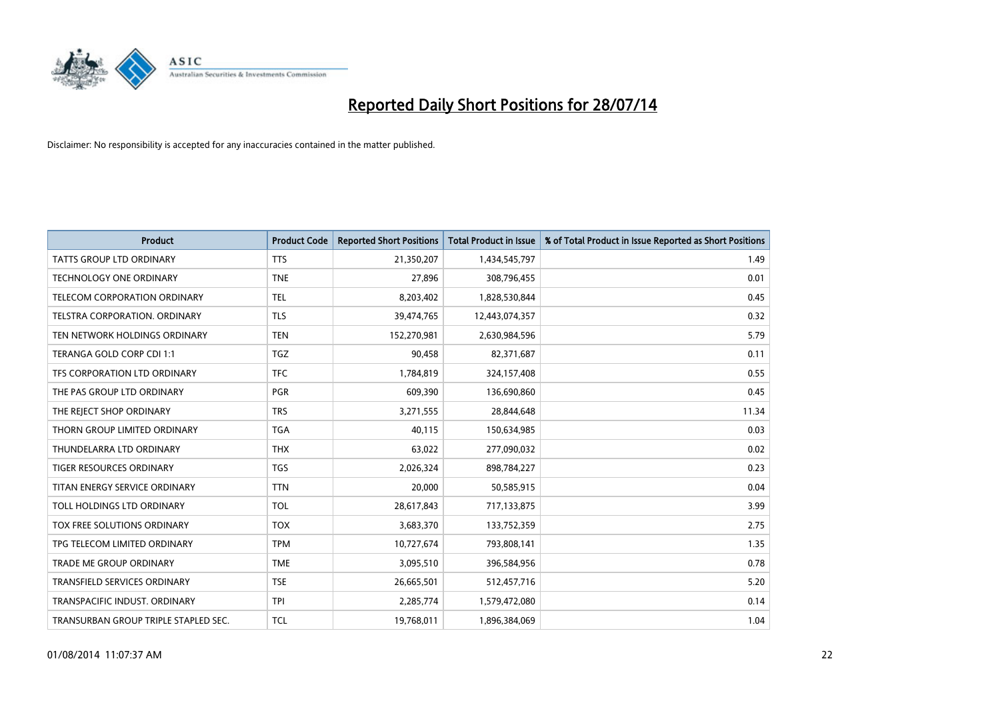

| <b>Product</b>                       | <b>Product Code</b> | <b>Reported Short Positions</b> | <b>Total Product in Issue</b> | % of Total Product in Issue Reported as Short Positions |
|--------------------------------------|---------------------|---------------------------------|-------------------------------|---------------------------------------------------------|
| <b>TATTS GROUP LTD ORDINARY</b>      | <b>TTS</b>          | 21,350,207                      | 1,434,545,797                 | 1.49                                                    |
| <b>TECHNOLOGY ONE ORDINARY</b>       | <b>TNE</b>          | 27,896                          | 308,796,455                   | 0.01                                                    |
| <b>TELECOM CORPORATION ORDINARY</b>  | <b>TEL</b>          | 8,203,402                       | 1,828,530,844                 | 0.45                                                    |
| TELSTRA CORPORATION. ORDINARY        | <b>TLS</b>          | 39,474,765                      | 12,443,074,357                | 0.32                                                    |
| TEN NETWORK HOLDINGS ORDINARY        | <b>TEN</b>          | 152,270,981                     | 2,630,984,596                 | 5.79                                                    |
| TERANGA GOLD CORP CDI 1:1            | <b>TGZ</b>          | 90,458                          | 82,371,687                    | 0.11                                                    |
| TFS CORPORATION LTD ORDINARY         | <b>TFC</b>          | 1,784,819                       | 324,157,408                   | 0.55                                                    |
| THE PAS GROUP LTD ORDINARY           | <b>PGR</b>          | 609,390                         | 136,690,860                   | 0.45                                                    |
| THE REJECT SHOP ORDINARY             | <b>TRS</b>          | 3,271,555                       | 28,844,648                    | 11.34                                                   |
| THORN GROUP LIMITED ORDINARY         | <b>TGA</b>          | 40,115                          | 150,634,985                   | 0.03                                                    |
| THUNDELARRA LTD ORDINARY             | <b>THX</b>          | 63,022                          | 277,090,032                   | 0.02                                                    |
| <b>TIGER RESOURCES ORDINARY</b>      | TGS                 | 2,026,324                       | 898,784,227                   | 0.23                                                    |
| TITAN ENERGY SERVICE ORDINARY        | <b>TTN</b>          | 20,000                          | 50,585,915                    | 0.04                                                    |
| TOLL HOLDINGS LTD ORDINARY           | <b>TOL</b>          | 28,617,843                      | 717,133,875                   | 3.99                                                    |
| TOX FREE SOLUTIONS ORDINARY          | <b>TOX</b>          | 3,683,370                       | 133,752,359                   | 2.75                                                    |
| TPG TELECOM LIMITED ORDINARY         | <b>TPM</b>          | 10,727,674                      | 793,808,141                   | 1.35                                                    |
| <b>TRADE ME GROUP ORDINARY</b>       | <b>TME</b>          | 3,095,510                       | 396,584,956                   | 0.78                                                    |
| TRANSFIELD SERVICES ORDINARY         | <b>TSE</b>          | 26,665,501                      | 512,457,716                   | 5.20                                                    |
| TRANSPACIFIC INDUST, ORDINARY        | <b>TPI</b>          | 2,285,774                       | 1,579,472,080                 | 0.14                                                    |
| TRANSURBAN GROUP TRIPLE STAPLED SEC. | TCL                 | 19,768,011                      | 1,896,384,069                 | 1.04                                                    |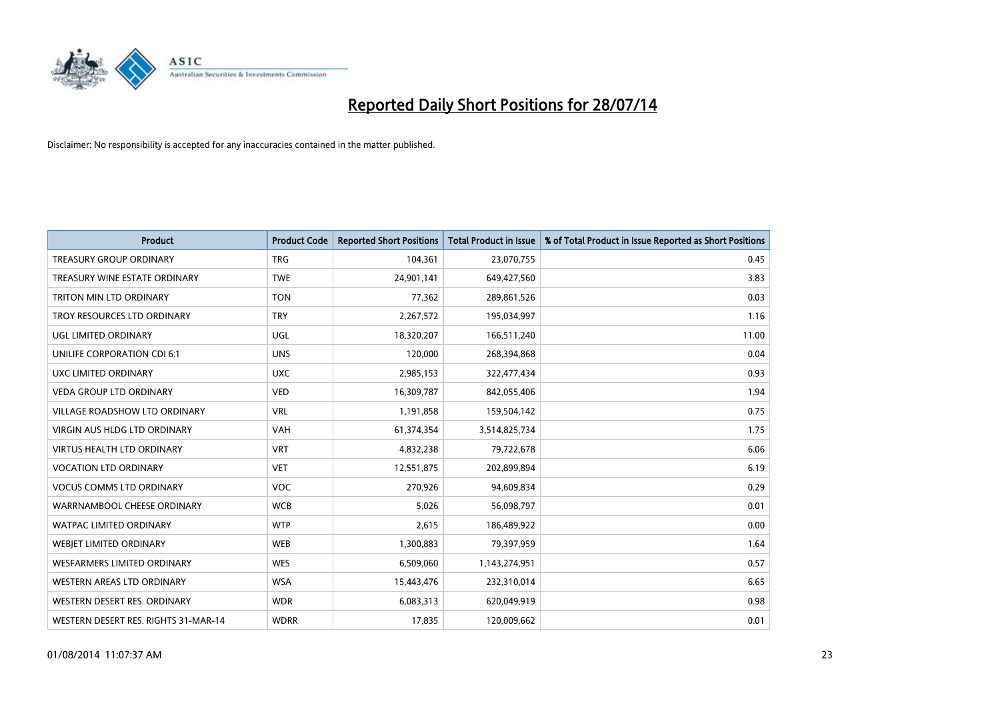

| <b>Product</b>                       | <b>Product Code</b> | <b>Reported Short Positions</b> | <b>Total Product in Issue</b> | % of Total Product in Issue Reported as Short Positions |
|--------------------------------------|---------------------|---------------------------------|-------------------------------|---------------------------------------------------------|
| <b>TREASURY GROUP ORDINARY</b>       | <b>TRG</b>          | 104,361                         | 23,070,755                    | 0.45                                                    |
| TREASURY WINE ESTATE ORDINARY        | <b>TWE</b>          | 24,901,141                      | 649,427,560                   | 3.83                                                    |
| TRITON MIN LTD ORDINARY              | <b>TON</b>          | 77,362                          | 289,861,526                   | 0.03                                                    |
| TROY RESOURCES LTD ORDINARY          | <b>TRY</b>          | 2,267,572                       | 195,034,997                   | 1.16                                                    |
| UGL LIMITED ORDINARY                 | UGL                 | 18,320,207                      | 166,511,240                   | 11.00                                                   |
| UNILIFE CORPORATION CDI 6:1          | <b>UNS</b>          | 120,000                         | 268,394,868                   | 0.04                                                    |
| UXC LIMITED ORDINARY                 | <b>UXC</b>          | 2,985,153                       | 322,477,434                   | 0.93                                                    |
| <b>VEDA GROUP LTD ORDINARY</b>       | <b>VED</b>          | 16,309,787                      | 842,055,406                   | 1.94                                                    |
| <b>VILLAGE ROADSHOW LTD ORDINARY</b> | <b>VRL</b>          | 1,191,858                       | 159,504,142                   | 0.75                                                    |
| VIRGIN AUS HLDG LTD ORDINARY         | <b>VAH</b>          | 61,374,354                      | 3,514,825,734                 | 1.75                                                    |
| VIRTUS HEALTH LTD ORDINARY           | <b>VRT</b>          | 4,832,238                       | 79,722,678                    | 6.06                                                    |
| <b>VOCATION LTD ORDINARY</b>         | <b>VET</b>          | 12,551,875                      | 202,899,894                   | 6.19                                                    |
| <b>VOCUS COMMS LTD ORDINARY</b>      | <b>VOC</b>          | 270,926                         | 94,609,834                    | 0.29                                                    |
| WARRNAMBOOL CHEESE ORDINARY          | <b>WCB</b>          | 5,026                           | 56,098,797                    | 0.01                                                    |
| <b>WATPAC LIMITED ORDINARY</b>       | <b>WTP</b>          | 2,615                           | 186,489,922                   | 0.00                                                    |
| WEBJET LIMITED ORDINARY              | <b>WEB</b>          | 1,300,883                       | 79,397,959                    | 1.64                                                    |
| WESFARMERS LIMITED ORDINARY          | <b>WES</b>          | 6,509,060                       | 1,143,274,951                 | 0.57                                                    |
| WESTERN AREAS LTD ORDINARY           | <b>WSA</b>          | 15,443,476                      | 232,310,014                   | 6.65                                                    |
| WESTERN DESERT RES. ORDINARY         | <b>WDR</b>          | 6,083,313                       | 620,049,919                   | 0.98                                                    |
| WESTERN DESERT RES. RIGHTS 31-MAR-14 | <b>WDRR</b>         | 17,835                          | 120,009,662                   | 0.01                                                    |